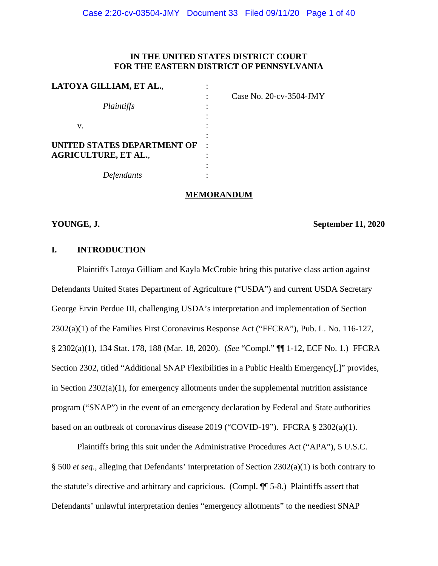# **IN THE UNITED STATES DISTRICT COURT FOR THE EASTERN DISTRICT OF PENNSYLVANIA**

| LATOYA GILLIAM, ET AL.,     |                            |
|-----------------------------|----------------------------|
|                             | Case No. $20$ -cv-3504-JMY |
| Plaintiffs                  |                            |
|                             |                            |
| v.                          |                            |
|                             |                            |
| UNITED STATES DEPARTMENT OF |                            |
| <b>AGRICULTURE, ET AL.,</b> |                            |
|                             |                            |
| Defendants                  |                            |

**MEMORANDUM**

### **YOUNGE, J. September 11, 2020**

# **I. INTRODUCTION**

Plaintiffs Latoya Gilliam and Kayla McCrobie bring this putative class action against Defendants United States Department of Agriculture ("USDA") and current USDA Secretary George Ervin Perdue III, challenging USDA's interpretation and implementation of Section 2302(a)(1) of the Families First Coronavirus Response Act ("FFCRA"), Pub. L. No. 116-127, § 2302(a)(1), 134 Stat. 178, 188 (Mar. 18, 2020). (*See* "Compl." ¶¶ 1-12, ECF No. 1.) FFCRA Section 2302, titled "Additional SNAP Flexibilities in a Public Health Emergency[,]" provides, in Section  $2302(a)(1)$ , for emergency allotments under the supplemental nutrition assistance program ("SNAP") in the event of an emergency declaration by Federal and State authorities based on an outbreak of coronavirus disease 2019 ("COVID-19"). FFCRA § 2302(a)(1).

Plaintiffs bring this suit under the Administrative Procedures Act ("APA"), 5 U.S.C. § 500 *et seq*., alleging that Defendants' interpretation of Section 2302(a)(1) is both contrary to the statute's directive and arbitrary and capricious. (Compl. ¶¶ 5-8.) Plaintiffs assert that Defendants' unlawful interpretation denies "emergency allotments" to the neediest SNAP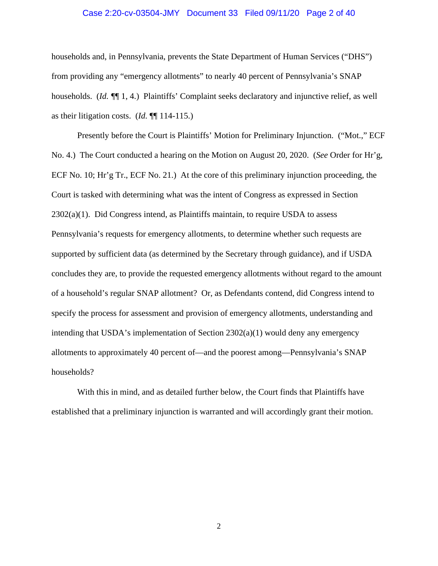#### Case 2:20-cv-03504-JMY Document 33 Filed 09/11/20 Page 2 of 40

households and, in Pennsylvania, prevents the State Department of Human Services ("DHS") from providing any "emergency allotments" to nearly 40 percent of Pennsylvania's SNAP households. (*Id. ¶*¶ 1, 4.) Plaintiffs' Complaint seeks declaratory and injunctive relief, as well as their litigation costs. (*Id.* ¶¶ 114-115.)

Presently before the Court is Plaintiffs' Motion for Preliminary Injunction. ("Mot.," ECF No. 4.) The Court conducted a hearing on the Motion on August 20, 2020. (*See* Order for Hr'g, ECF No. 10; Hr'g Tr., ECF No. 21.) At the core of this preliminary injunction proceeding, the Court is tasked with determining what was the intent of Congress as expressed in Section  $2302(a)(1)$ . Did Congress intend, as Plaintiffs maintain, to require USDA to assess Pennsylvania's requests for emergency allotments, to determine whether such requests are supported by sufficient data (as determined by the Secretary through guidance), and if USDA concludes they are, to provide the requested emergency allotments without regard to the amount of a household's regular SNAP allotment? Or, as Defendants contend, did Congress intend to specify the process for assessment and provision of emergency allotments, understanding and intending that USDA's implementation of Section 2302(a)(1) would deny any emergency allotments to approximately 40 percent of—and the poorest among—Pennsylvania's SNAP households?

With this in mind, and as detailed further below, the Court finds that Plaintiffs have established that a preliminary injunction is warranted and will accordingly grant their motion.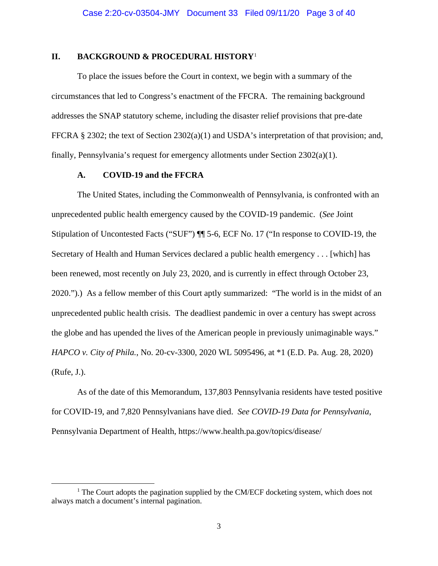#### **II. BACKGROUND & PROCEDURAL HISTORY**[1](#page-2-0)

To place the issues before the Court in context, we begin with a summary of the circumstances that led to Congress's enactment of the FFCRA. The remaining background addresses the SNAP statutory scheme, including the disaster relief provisions that pre-date FFCRA § 2302; the text of Section 2302(a)(1) and USDA's interpretation of that provision; and, finally, Pennsylvania's request for emergency allotments under Section 2302(a)(1).

#### **A. COVID-19 and the FFCRA**

The United States, including the Commonwealth of Pennsylvania, is confronted with an unprecedented public health emergency caused by the COVID-19 pandemic. (*See* Joint Stipulation of Uncontested Facts ("SUF") ¶¶ 5-6, ECF No. 17 ("In response to COVID-19, the Secretary of Health and Human Services declared a public health emergency . . . [which] has been renewed, most recently on July 23, 2020, and is currently in effect through October 23, 2020.").) As a fellow member of this Court aptly summarized: "The world is in the midst of an unprecedented public health crisis. The deadliest pandemic in over a century has swept across the globe and has upended the lives of the American people in previously unimaginable ways." *HAPCO v. City of Phila.*, No. 20-cv-3300, 2020 WL 5095496, at \*1 (E.D. Pa. Aug. 28, 2020) (Rufe, J.).

As of the date of this Memorandum, 137,803 Pennsylvania residents have tested positive for COVID-19, and 7,820 Pennsylvanians have died. *See COVID-19 Data for Pennsylvania*, Pennsylvania Department of Health, https://www.health.pa.gov/topics/disease/

<span id="page-2-0"></span> $1$ <sup>1</sup> The Court adopts the pagination supplied by the CM/ECF docketing system, which does not always match a document's internal pagination.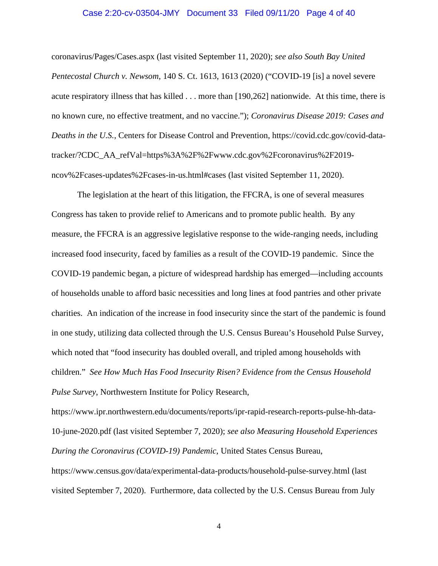#### Case 2:20-cv-03504-JMY Document 33 Filed 09/11/20 Page 4 of 40

coronavirus/Pages/Cases.aspx (last visited September 11, 2020); *see also South Bay United Pentecostal Church v. Newsom*, 140 S. Ct. 1613, 1613 (2020) ("COVID-19 [is] a novel severe acute respiratory illness that has killed . . . more than [190,262] nationwide. At this time, there is no known cure, no effective treatment, and no vaccine."); *Coronavirus Disease 2019: Cases and Deaths in the U.S.*, Centers for Disease Control and Prevention, https://covid.cdc.gov/covid-datatracker/?CDC\_AA\_refVal=https%3A%2F%2Fwww.cdc.gov%2Fcoronavirus%2F2019 ncov%2Fcases-updates%2Fcases-in-us.html#cases (last visited September 11, 2020).

The legislation at the heart of this litigation, the FFCRA, is one of several measures Congress has taken to provide relief to Americans and to promote public health. By any measure, the FFCRA is an aggressive legislative response to the wide-ranging needs, including increased food insecurity, faced by families as a result of the COVID-19 pandemic. Since the COVID-19 pandemic began, a picture of widespread hardship has emerged—including accounts of households unable to afford basic necessities and long lines at food pantries and other private charities. An indication of the increase in food insecurity since the start of the pandemic is found in one study, utilizing data collected through the U.S. Census Bureau's Household Pulse Survey, which noted that "food insecurity has doubled overall, and tripled among households with children." *See How Much Has Food Insecurity Risen? Evidence from the Census Household Pulse Survey*, Northwestern Institute for Policy Research,

https://www.ipr.northwestern.edu/documents/reports/ipr-rapid-research-reports-pulse-hh-data-10-june-2020.pdf (last visited September 7, 2020); *see also Measuring Household Experiences During the Coronavirus (COVID-19) Pandemic*, United States Census Bureau,

https://www.census.gov/data/experimental-data-products/household-pulse-survey.html (last visited September 7, 2020). Furthermore, data collected by the U.S. Census Bureau from July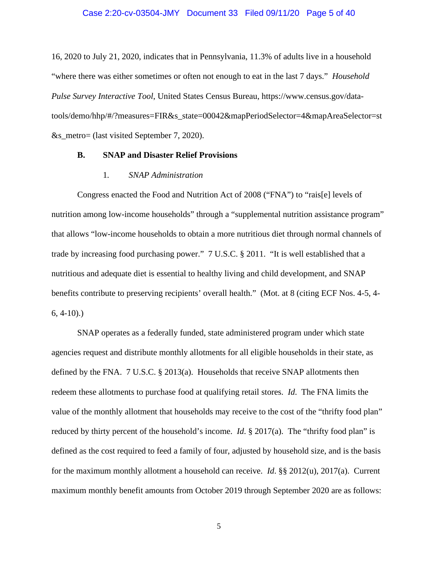16, 2020 to July 21, 2020, indicates that in Pennsylvania, 11.3% of adults live in a household "where there was either sometimes or often not enough to eat in the last 7 days." *Household Pulse Survey Interactive Tool*, United States Census Bureau, https://www.census.gov/datatools/demo/hhp/#/?measures=FIR&s\_state=00042&mapPeriodSelector=4&mapAreaSelector=st &s\_metro= (last visited September 7, 2020).

#### **B. SNAP and Disaster Relief Provisions**

#### 1*. SNAP Administration*

Congress enacted the Food and Nutrition Act of 2008 ("FNA") to "rais[e] levels of nutrition among low-income households" through a "supplemental nutrition assistance program" that allows "low-income households to obtain a more nutritious diet through normal channels of trade by increasing food purchasing power." 7 U.S.C. § 2011. "It is well established that a nutritious and adequate diet is essential to healthy living and child development, and SNAP benefits contribute to preserving recipients' overall health." (Mot. at 8 (citing ECF Nos. 4-5, 4-  $6, 4-10$ ).

SNAP operates as a federally funded, state administered program under which state agencies request and distribute monthly allotments for all eligible households in their state, as defined by the FNA. 7 U.S.C. § 2013(a). Households that receive SNAP allotments then redeem these allotments to purchase food at qualifying retail stores. *Id*. The FNA limits the value of the monthly allotment that households may receive to the cost of the "thrifty food plan" reduced by thirty percent of the household's income. *Id*. § 2017(a). The "thrifty food plan" is defined as the cost required to feed a family of four, adjusted by household size, and is the basis for the maximum monthly allotment a household can receive. *Id*. §§ 2012(u), 2017(a). Current maximum monthly benefit amounts from October 2019 through September 2020 are as follows: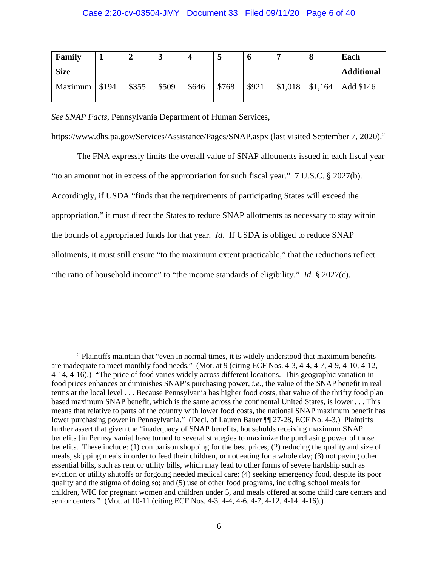### Case 2:20-cv-03504-JMY Document 33 Filed 09/11/20 Page 6 of 40

| Family      |       | ◢     | ມ     |       | ت     | O     |         | О       | Each              |
|-------------|-------|-------|-------|-------|-------|-------|---------|---------|-------------------|
| <b>Size</b> |       |       |       |       |       |       |         |         | <b>Additional</b> |
| Maximum     | \$194 | \$355 | \$509 | \$646 | \$768 | \$921 | \$1,018 | \$1,164 | Add \$146         |

*See SNAP Facts*, Pennsylvania Department of Human Services,

https://www.dhs.pa.gov/Services/Assistance/Pages/SNAP.aspx (last visited September 7, 2020). [2](#page-5-0)

The FNA expressly limits the overall value of SNAP allotments issued in each fiscal year "to an amount not in excess of the appropriation for such fiscal year." 7 U.S.C. § 2027(b). Accordingly, if USDA "finds that the requirements of participating States will exceed the appropriation," it must direct the States to reduce SNAP allotments as necessary to stay within the bounds of appropriated funds for that year. *Id*. If USDA is obliged to reduce SNAP allotments, it must still ensure "to the maximum extent practicable," that the reductions reflect "the ratio of household income" to "the income standards of eligibility." *Id*. § 2027(c).

<span id="page-5-0"></span><sup>&</sup>lt;sup>2</sup> Plaintiffs maintain that "even in normal times, it is widely understood that maximum benefits are inadequate to meet monthly food needs." (Mot. at 9 (citing ECF Nos. 4-3, 4-4, 4-7, 4-9, 4-10, 4-12, 4-14, 4-16).) "The price of food varies widely across different locations. This geographic variation in food prices enhances or diminishes SNAP's purchasing power, *i.e.*, the value of the SNAP benefit in real terms at the local level . . . Because Pennsylvania has higher food costs, that value of the thrifty food plan based maximum SNAP benefit, which is the same across the continental United States, is lower . . . This means that relative to parts of the country with lower food costs, the national SNAP maximum benefit has lower purchasing power in Pennsylvania." (Decl. of Lauren Bauer ¶ 27-28, ECF No. 4-3.) Plaintiffs further assert that given the "inadequacy of SNAP benefits, households receiving maximum SNAP benefits [in Pennsylvania] have turned to several strategies to maximize the purchasing power of those benefits. These include: (1) comparison shopping for the best prices; (2) reducing the quality and size of meals, skipping meals in order to feed their children, or not eating for a whole day; (3) not paying other essential bills, such as rent or utility bills, which may lead to other forms of severe hardship such as eviction or utility shutoffs or forgoing needed medical care; (4) seeking emergency food, despite its poor quality and the stigma of doing so; and (5) use of other food programs, including school meals for children, WIC for pregnant women and children under 5, and meals offered at some child care centers and senior centers." (Mot. at 10-11 (citing ECF Nos. 4-3, 4-4, 4-6, 4-7, 4-12, 4-14, 4-16).)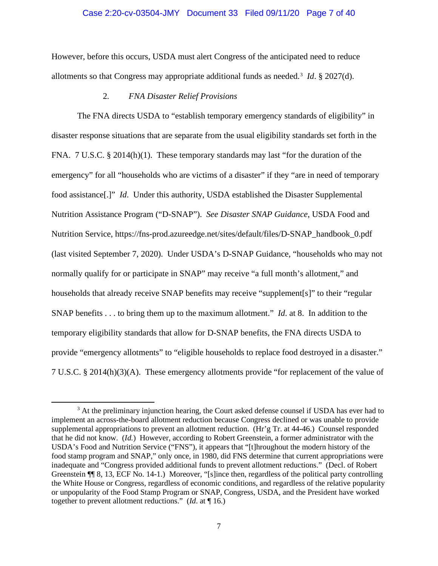#### Case 2:20-cv-03504-JMY Document 33 Filed 09/11/20 Page 7 of 40

However, before this occurs, USDA must alert Congress of the anticipated need to reduce allotments so that Congress may appropriate additional funds as needed.[3](#page-6-0) *Id*. § 2027(d).

# 2*. FNA Disaster Relief Provisions*

The FNA directs USDA to "establish temporary emergency standards of eligibility" in disaster response situations that are separate from the usual eligibility standards set forth in the FNA. 7 U.S.C. § 2014(h)(1). These temporary standards may last "for the duration of the emergency" for all "households who are victims of a disaster" if they "are in need of temporary food assistance[.]" *Id*. Under this authority, USDA established the Disaster Supplemental Nutrition Assistance Program ("D-SNAP"). *See Disaster SNAP Guidance*, USDA Food and Nutrition Service, https://fns-prod.azureedge.net/sites/default/files/D-SNAP\_handbook\_0.pdf (last visited September 7, 2020). Under USDA's D-SNAP Guidance, "households who may not normally qualify for or participate in SNAP" may receive "a full month's allotment," and households that already receive SNAP benefits may receive "supplement[s]" to their "regular SNAP benefits . . . to bring them up to the maximum allotment." *Id*. at 8. In addition to the temporary eligibility standards that allow for D-SNAP benefits, the FNA directs USDA to provide "emergency allotments" to "eligible households to replace food destroyed in a disaster." 7 U.S.C. § 2014(h)(3)(A). These emergency allotments provide "for replacement of the value of

<span id="page-6-0"></span><sup>&</sup>lt;sup>3</sup> At the preliminary injunction hearing, the Court asked defense counsel if USDA has ever had to implement an across-the-board allotment reduction because Congress declined or was unable to provide supplemental appropriations to prevent an allotment reduction. (Hr'g Tr. at 44-46.) Counsel responded that he did not know. (*Id.*) However, according to Robert Greenstein, a former administrator with the USDA's Food and Nutrition Service ("FNS"), it appears that "[t]hroughout the modern history of the food stamp program and SNAP," only once, in 1980, did FNS determine that current appropriations were inadequate and "Congress provided additional funds to prevent allotment reductions." (Decl. of Robert Greenstein ¶¶ 8, 13, ECF No. 14-1.) Moreover, "[s]ince then, regardless of the political party controlling the White House or Congress, regardless of economic conditions, and regardless of the relative popularity or unpopularity of the Food Stamp Program or SNAP, Congress, USDA, and the President have worked together to prevent allotment reductions." (*Id*. at ¶ 16.)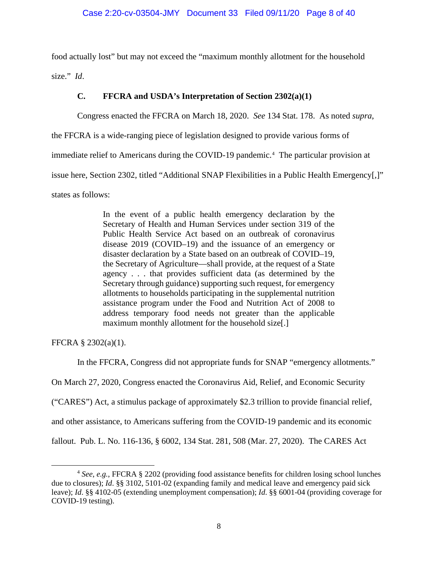food actually lost" but may not exceed the "maximum monthly allotment for the household size." *Id*.

# **C. FFCRA and USDA's Interpretation of Section 2302(a)(1)**

Congress enacted the FFCRA on March 18, 2020. *See* 134 Stat. 178. As noted *supra*,

the FFCRA is a wide-ranging piece of legislation designed to provide various forms of

immediate relief to Americans during the COVID-19 pandemic.<sup>[4](#page-7-0)</sup> The particular provision at

issue here, Section 2302, titled "Additional SNAP Flexibilities in a Public Health Emergency[,]"

states as follows:

In the event of a public health emergency declaration by the Secretary of Health and Human Services under section 319 of the Public Health Service Act based on an outbreak of coronavirus disease 2019 (COVID–19) and the issuance of an emergency or disaster declaration by a State based on an outbreak of COVID–19, the Secretary of Agriculture—shall provide, at the request of a State agency . . . that provides sufficient data (as determined by the Secretary through guidance) supporting such request, for emergency allotments to households participating in the supplemental nutrition assistance program under the Food and Nutrition Act of 2008 to address temporary food needs not greater than the applicable maximum monthly allotment for the household size[.]

FFCRA § 2302(a)(1).

In the FFCRA, Congress did not appropriate funds for SNAP "emergency allotments."

On March 27, 2020, Congress enacted the Coronavirus Aid, Relief, and Economic Security

("CARES") Act, a stimulus package of approximately \$2.3 trillion to provide financial relief,

and other assistance, to Americans suffering from the COVID-19 pandemic and its economic

fallout. Pub. L. No. 116-136, § 6002, 134 Stat. 281, 508 (Mar. 27, 2020). The CARES Act

<span id="page-7-0"></span><sup>4</sup> *See*, *e.g.*, FFCRA § 2202 (providing food assistance benefits for children losing school lunches due to closures); *Id*. §§ 3102, 5101-02 (expanding family and medical leave and emergency paid sick leave); *Id*. §§ 4102-05 (extending unemployment compensation); *Id*. §§ 6001-04 (providing coverage for COVID-19 testing).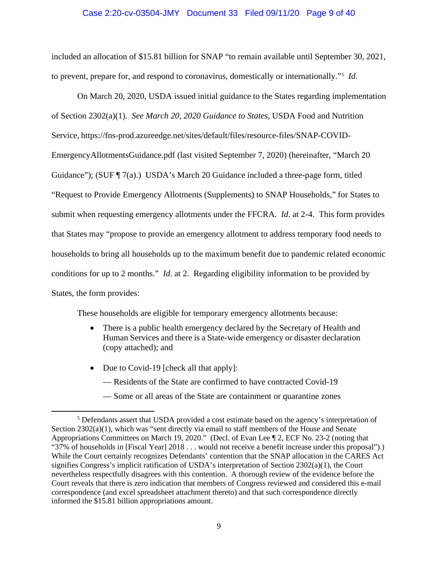#### Case 2:20-cv-03504-JMY Document 33 Filed 09/11/20 Page 9 of 40

included an allocation of \$15.81 billion for SNAP "to remain available until September 30, 2021, to prevent, prepare for, and respond to coronavirus, domestically or internationally."[5](#page-8-0) *Id*.

On March 20, 2020, USDA issued initial guidance to the States regarding implementation of Section 2302(a)(1). *See March 20, 2020 Guidance to States*, USDA Food and Nutrition Service, https://fns-prod.azureedge.net/sites/default/files/resource-files/SNAP-COVID-EmergencyAllotmentsGuidance.pdf (last visited September 7, 2020) (hereinafter, "March 20 Guidance"); (SUF  $\P$  7(a).) USDA's March 20 Guidance included a three-page form, titled "Request to Provide Emergency Allotments (Supplements) to SNAP Households," for States to submit when requesting emergency allotments under the FFCRA. *Id*. at 2-4. This form provides that States may "propose to provide an emergency allotment to address temporary food needs to households to bring all households up to the maximum benefit due to pandemic related economic conditions for up to 2 months." *Id*. at 2. Regarding eligibility information to be provided by States, the form provides:

These households are eligible for temporary emergency allotments because:

- There is a public health emergency declared by the Secretary of Health and Human Services and there is a State-wide emergency or disaster declaration (copy attached); and
- Due to Covid-19 [check all that apply]:
	- Residents of the State are confirmed to have contracted Covid-19
	- Some or all areas of the State are containment or quarantine zones

<span id="page-8-0"></span><sup>5</sup> Defendants assert that USDA provided a cost estimate based on the agency's interpretation of Section 2302(a)(1), which was "sent directly via email to staff members of the House and Senate Appropriations Committees on March 19, 2020." (Decl. of Evan Lee ¶ 2, ECF No. 23-2 (noting that "37% of households in [Fiscal Year] 2018 . . . would not receive a benefit increase under this proposal").) While the Court certainly recognizes Defendants' contention that the SNAP allocation in the CARES Act signifies Congress's implicit ratification of USDA's interpretation of Section  $2302(a)(1)$ , the Court nevertheless respectfully disagrees with this contention. A thorough review of the evidence before the Court reveals that there is zero indication that members of Congress reviewed and considered this e-mail correspondence (and excel spreadsheet attachment thereto) and that such correspondence directly informed the \$15.81 billion appropriations amount.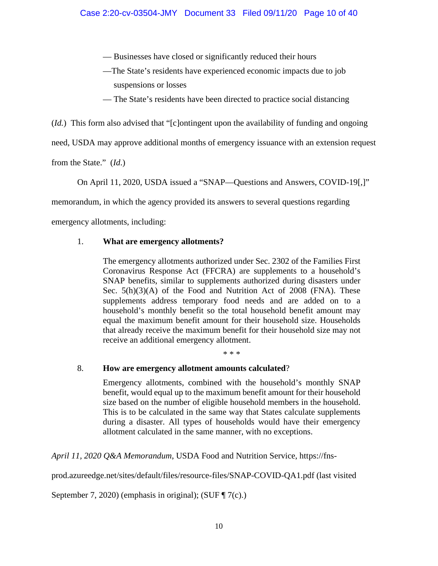- Businesses have closed or significantly reduced their hours
- —The State's residents have experienced economic impacts due to job suspensions or losses
- The State's residents have been directed to practice social distancing

(*Id.*) This form also advised that "[c]ontingent upon the availability of funding and ongoing

need, USDA may approve additional months of emergency issuance with an extension request

from the State." (*Id*.)

On April 11, 2020, USDA issued a "SNAP—Questions and Answers, COVID-19[,]"

memorandum, in which the agency provided its answers to several questions regarding

emergency allotments, including:

# 1. **What are emergency allotments?**

The emergency allotments authorized under Sec. 2302 of the Families First Coronavirus Response Act (FFCRA) are supplements to a household's SNAP benefits, similar to supplements authorized during disasters under Sec. 5(h)(3)(A) of the Food and Nutrition Act of 2008 (FNA). These supplements address temporary food needs and are added on to a household's monthly benefit so the total household benefit amount may equal the maximum benefit amount for their household size. Households that already receive the maximum benefit for their household size may not receive an additional emergency allotment.

\* \* \*

# 8. **How are emergency allotment amounts calculated**?

Emergency allotments, combined with the household's monthly SNAP benefit, would equal up to the maximum benefit amount for their household size based on the number of eligible household members in the household. This is to be calculated in the same way that States calculate supplements during a disaster. All types of households would have their emergency allotment calculated in the same manner, with no exceptions.

*April 11, 2020 Q&A Memorandum*, USDA Food and Nutrition Service, https://fns-

prod.azureedge.net/sites/default/files/resource-files/SNAP-COVID-QA1.pdf (last visited

September 7, 2020) (emphasis in original); (SUF ¶ 7(c).)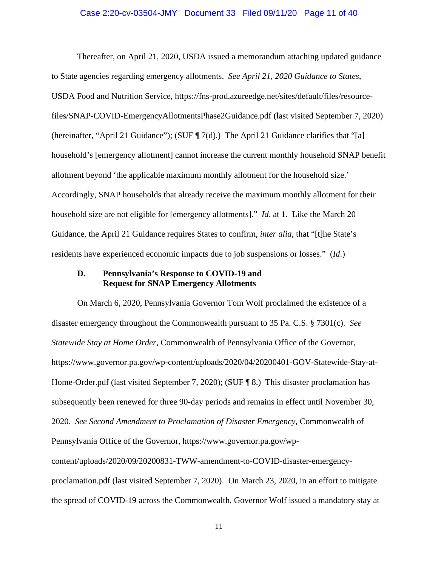#### Case 2:20-cv-03504-JMY Document 33 Filed 09/11/20 Page 11 of 40

Thereafter, on April 21, 2020, USDA issued a memorandum attaching updated guidance to State agencies regarding emergency allotments. *See April 21, 2020 Guidance to States*, USDA Food and Nutrition Service, https://fns-prod.azureedge.net/sites/default/files/resourcefiles/SNAP-COVID-EmergencyAllotmentsPhase2Guidance.pdf (last visited September 7, 2020) (hereinafter, "April 21 Guidance"); (SUF  $\P$  7(d).) The April 21 Guidance clarifies that "[a] household's [emergency allotment] cannot increase the current monthly household SNAP benefit allotment beyond 'the applicable maximum monthly allotment for the household size.' Accordingly, SNAP households that already receive the maximum monthly allotment for their household size are not eligible for [emergency allotments]." *Id*. at 1. Like the March 20 Guidance, the April 21 Guidance requires States to confirm, *inter alia*, that "[t]he State's residents have experienced economic impacts due to job suspensions or losses." (*Id*.)

## **D. Pennsylvania's Response to COVID-19 and Request for SNAP Emergency Allotments**

On March 6, 2020, Pennsylvania Governor Tom Wolf proclaimed the existence of a disaster emergency throughout the Commonwealth pursuant to 35 Pa. C.S. § 7301(c). *See Statewide Stay at Home Order*, Commonwealth of Pennsylvania Office of the Governor, https://www.governor.pa.gov/wp-content/uploads/2020/04/20200401-GOV-Statewide-Stay-at-Home-Order.pdf (last visited September 7, 2020); (SUF ¶ 8.) This disaster proclamation has subsequently been renewed for three 90-day periods and remains in effect until November 30, 2020. *See Second Amendment to Proclamation of Disaster Emergency*, Commonwealth of Pennsylvania Office of the Governor, https://www.governor.pa.gov/wpcontent/uploads/2020/09/20200831-TWW-amendment-to-COVID-disaster-emergencyproclamation.pdf (last visited September 7, 2020). On March 23, 2020, in an effort to mitigate the spread of COVID-19 across the Commonwealth, Governor Wolf issued a mandatory stay at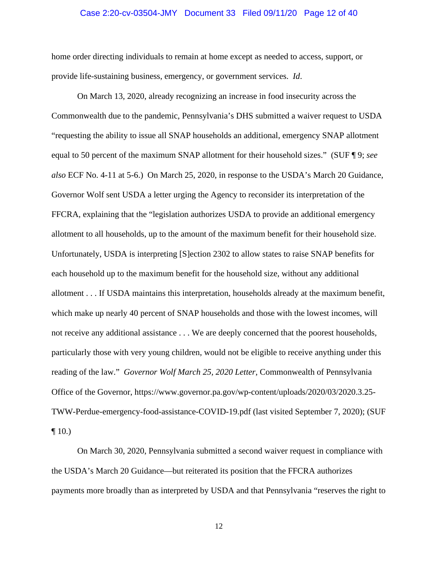#### Case 2:20-cv-03504-JMY Document 33 Filed 09/11/20 Page 12 of 40

home order directing individuals to remain at home except as needed to access, support, or provide life-sustaining business, emergency, or government services. *Id*.

On March 13, 2020, already recognizing an increase in food insecurity across the Commonwealth due to the pandemic, Pennsylvania's DHS submitted a waiver request to USDA "requesting the ability to issue all SNAP households an additional, emergency SNAP allotment equal to 50 percent of the maximum SNAP allotment for their household sizes." (SUF ¶ 9; *see also* ECF No. 4-11 at 5-6.) On March 25, 2020, in response to the USDA's March 20 Guidance, Governor Wolf sent USDA a letter urging the Agency to reconsider its interpretation of the FFCRA, explaining that the "legislation authorizes USDA to provide an additional emergency allotment to all households, up to the amount of the maximum benefit for their household size. Unfortunately, USDA is interpreting [S]ection 2302 to allow states to raise SNAP benefits for each household up to the maximum benefit for the household size, without any additional allotment . . . If USDA maintains this interpretation, households already at the maximum benefit, which make up nearly 40 percent of SNAP households and those with the lowest incomes, will not receive any additional assistance . . . We are deeply concerned that the poorest households, particularly those with very young children, would not be eligible to receive anything under this reading of the law." *Governor Wolf March 25, 2020 Letter*, Commonwealth of Pennsylvania Office of the Governor, https://www.governor.pa.gov/wp-content/uploads/2020/03/2020.3.25- TWW-Perdue-emergency-food-assistance-COVID-19.pdf (last visited September 7, 2020); (SUF  $\P$  10.)

On March 30, 2020, Pennsylvania submitted a second waiver request in compliance with the USDA's March 20 Guidance—but reiterated its position that the FFCRA authorizes payments more broadly than as interpreted by USDA and that Pennsylvania "reserves the right to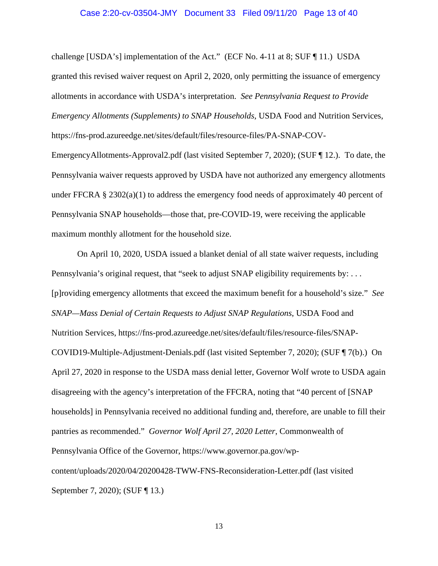#### Case 2:20-cv-03504-JMY Document 33 Filed 09/11/20 Page 13 of 40

challenge [USDA's] implementation of the Act." (ECF No. 4-11 at 8; SUF ¶ 11.) USDA granted this revised waiver request on April 2, 2020, only permitting the issuance of emergency allotments in accordance with USDA's interpretation. *See Pennsylvania Request to Provide Emergency Allotments (Supplements) to SNAP Households*, USDA Food and Nutrition Services, https://fns-prod.azureedge.net/sites/default/files/resource-files/PA-SNAP-COV-EmergencyAllotments-Approval2.pdf (last visited September 7, 2020); (SUF ¶ 12.). To date, the Pennsylvania waiver requests approved by USDA have not authorized any emergency allotments under FFCRA  $\S 2302(a)(1)$  to address the emergency food needs of approximately 40 percent of Pennsylvania SNAP households—those that, pre-COVID-19, were receiving the applicable maximum monthly allotment for the household size.

On April 10, 2020, USDA issued a blanket denial of all state waiver requests, including Pennsylvania's original request, that "seek to adjust SNAP eligibility requirements by: ... [p]roviding emergency allotments that exceed the maximum benefit for a household's size." *See SNAP—Mass Denial of Certain Requests to Adjust SNAP Regulations*, USDA Food and Nutrition Services, https://fns-prod.azureedge.net/sites/default/files/resource-files/SNAP-COVID19-Multiple-Adjustment-Denials.pdf (last visited September 7, 2020); (SUF ¶ 7(b).) On April 27, 2020 in response to the USDA mass denial letter, Governor Wolf wrote to USDA again disagreeing with the agency's interpretation of the FFCRA, noting that "40 percent of [SNAP households] in Pennsylvania received no additional funding and, therefore, are unable to fill their pantries as recommended." *Governor Wolf April 27, 2020 Letter*, Commonwealth of Pennsylvania Office of the Governor, https://www.governor.pa.gov/wpcontent/uploads/2020/04/20200428-TWW-FNS-Reconsideration-Letter.pdf (last visited September 7, 2020); (SUF ¶ 13.)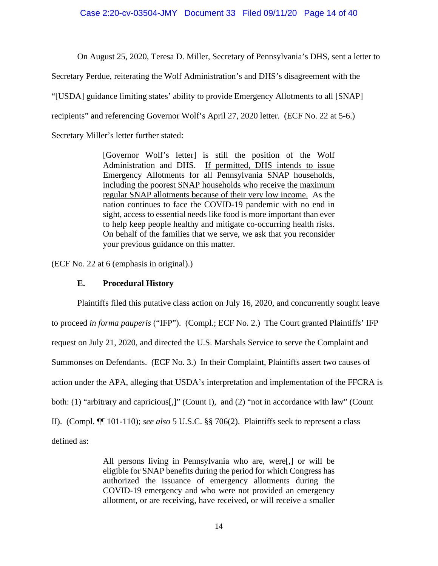#### Case 2:20-cv-03504-JMY Document 33 Filed 09/11/20 Page 14 of 40

On August 25, 2020, Teresa D. Miller, Secretary of Pennsylvania's DHS, sent a letter to

Secretary Perdue, reiterating the Wolf Administration's and DHS's disagreement with the

"[USDA] guidance limiting states' ability to provide Emergency Allotments to all [SNAP]

recipients" and referencing Governor Wolf's April 27, 2020 letter. (ECF No. 22 at 5-6.)

Secretary Miller's letter further stated:

[Governor Wolf's letter] is still the position of the Wolf Administration and DHS. If permitted, DHS intends to issue Emergency Allotments for all Pennsylvania SNAP households, including the poorest SNAP households who receive the maximum regular SNAP allotments because of their very low income. As the nation continues to face the COVID-19 pandemic with no end in sight, access to essential needs like food is more important than ever to help keep people healthy and mitigate co-occurring health risks. On behalf of the families that we serve, we ask that you reconsider your previous guidance on this matter.

(ECF No. 22 at 6 (emphasis in original).)

## **E. Procedural History**

Plaintiffs filed this putative class action on July 16, 2020, and concurrently sought leave to proceed *in forma pauperis* ("IFP"). (Compl.; ECF No. 2.) The Court granted Plaintiffs' IFP request on July 21, 2020, and directed the U.S. Marshals Service to serve the Complaint and Summonses on Defendants. (ECF No. 3.) In their Complaint, Plaintiffs assert two causes of action under the APA, alleging that USDA's interpretation and implementation of the FFCRA is both: (1) "arbitrary and capricious<sup>[1]</sup>" (Count I), and (2) "not in accordance with law" (Count II). (Compl. ¶¶ 101-110); *see also* 5 U.S.C. §§ 706(2). Plaintiffs seek to represent a class defined as:

> All persons living in Pennsylvania who are, were[,] or will be eligible for SNAP benefits during the period for which Congress has authorized the issuance of emergency allotments during the COVID-19 emergency and who were not provided an emergency allotment, or are receiving, have received, or will receive a smaller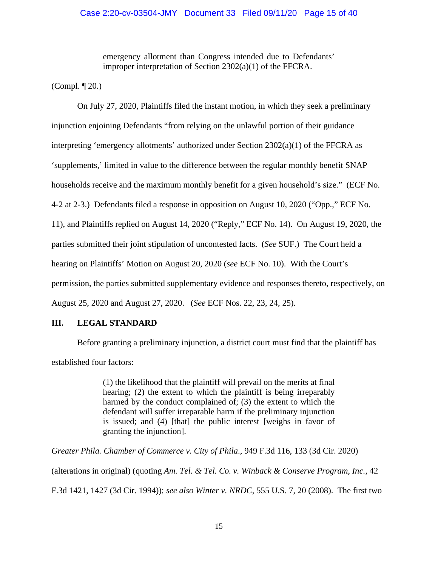emergency allotment than Congress intended due to Defendants' improper interpretation of Section 2302(a)(1) of the FFCRA.

(Compl. ¶ 20.)

On July 27, 2020, Plaintiffs filed the instant motion, in which they seek a preliminary injunction enjoining Defendants "from relying on the unlawful portion of their guidance interpreting 'emergency allotments' authorized under Section 2302(a)(1) of the FFCRA as 'supplements,' limited in value to the difference between the regular monthly benefit SNAP households receive and the maximum monthly benefit for a given household's size." (ECF No. 4-2 at 2-3.) Defendants filed a response in opposition on August 10, 2020 ("Opp.," ECF No. 11), and Plaintiffs replied on August 14, 2020 ("Reply," ECF No. 14). On August 19, 2020, the parties submitted their joint stipulation of uncontested facts. (*See* SUF.) The Court held a hearing on Plaintiffs' Motion on August 20, 2020 (*see* ECF No. 10). With the Court's permission, the parties submitted supplementary evidence and responses thereto, respectively, on August 25, 2020 and August 27, 2020. (*See* ECF Nos. 22, 23, 24, 25).

# **III. LEGAL STANDARD**

Before granting a preliminary injunction, a district court must find that the plaintiff has established four factors:

> (1) the likelihood that the plaintiff will prevail on the merits at final hearing; (2) the extent to which the plaintiff is being irreparably harmed by the conduct complained of; (3) the extent to which the defendant will suffer irreparable harm if the preliminary injunction is issued; and (4) [that] the public interest [weighs in favor of granting the injunction].

*Greater Phila. Chamber of Commerce v. City of Phila*., 949 F.3d 116, 133 (3d Cir. 2020) (alterations in original) (quoting *Am. Tel. & Tel. Co. v. Winback & Conserve Program, Inc.*, 42 F.3d 1421, 1427 (3d Cir. 1994)); *see also Winter v. NRDC*, 555 U.S. 7, 20 (2008). The first two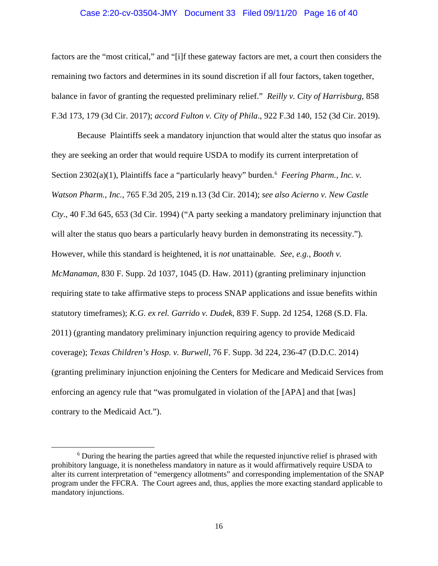#### Case 2:20-cv-03504-JMY Document 33 Filed 09/11/20 Page 16 of 40

factors are the "most critical," and "[i]f these gateway factors are met, a court then considers the remaining two factors and determines in its sound discretion if all four factors, taken together, balance in favor of granting the requested preliminary relief." *Reilly v. City of Harrisburg*, 858 F.3d 173, 179 (3d Cir. 2017); *accord Fulton v. City of Phila*., 922 F.3d 140, 152 (3d Cir. 2019).

Because Plaintiffs seek a mandatory injunction that would alter the status quo insofar as they are seeking an order that would require USDA to modify its current interpretation of Section 2302(a)(1), Plaintiffs face a "particularly heavy" burden.<sup>[6](#page-15-0)</sup> Feering Pharm., Inc. v. *Watson Pharm., Inc.*, 765 F.3d 205, 219 n.13 (3d Cir. 2014); *see also Acierno v. New Castle Cty*., 40 F.3d 645, 653 (3d Cir. 1994) ("A party seeking a mandatory preliminary injunction that will alter the status quo bears a particularly heavy burden in demonstrating its necessity."). However, while this standard is heightened, it is *not* unattainable. *See*, *e.g.*, *Booth v. McManaman*, 830 F. Supp. 2d 1037, 1045 (D. Haw. 2011) (granting preliminary injunction requiring state to take affirmative steps to process SNAP applications and issue benefits within statutory timeframes); *K.G. ex rel. Garrido v. Dudek*, 839 F. Supp. 2d 1254, 1268 (S.D. Fla. 2011) (granting mandatory preliminary injunction requiring agency to provide Medicaid coverage); *Texas Children's Hosp. v. Burwell*, 76 F. Supp. 3d 224, 236-47 (D.D.C. 2014) (granting preliminary injunction enjoining the Centers for Medicare and Medicaid Services from enforcing an agency rule that "was promulgated in violation of the [APA] and that [was] contrary to the Medicaid Act.").

<span id="page-15-0"></span><sup>&</sup>lt;sup>6</sup> During the hearing the parties agreed that while the requested injunctive relief is phrased with prohibitory language, it is nonetheless mandatory in nature as it would affirmatively require USDA to alter its current interpretation of "emergency allotments" and corresponding implementation of the SNAP program under the FFCRA. The Court agrees and, thus, applies the more exacting standard applicable to mandatory injunctions.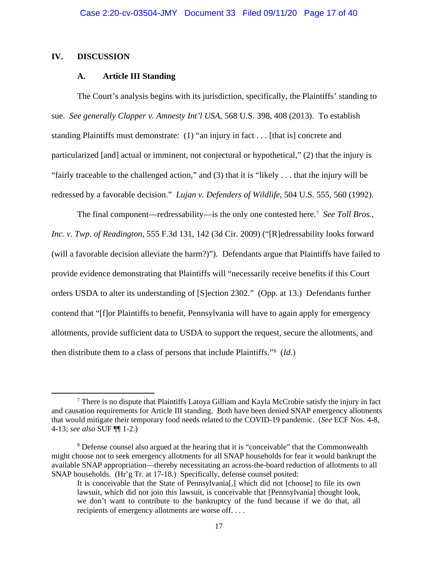#### **IV. DISCUSSION**

### **A. Article III Standing**

The Court's analysis begins with its jurisdiction, specifically, the Plaintiffs' standing to sue. *See generally Clapper v. Amnesty Int'l USA*, 568 U.S. 398, 408 (2013). To establish standing Plaintiffs must demonstrate: (1) "an injury in fact . . . [that is] concrete and particularized [and] actual or imminent, not conjectural or hypothetical," (2) that the injury is "fairly traceable to the challenged action," and (3) that it is "likely . . . that the injury will be redressed by a favorable decision." *Lujan v. Defenders of Wildlife*, 504 U.S. 555, 560 (1992).

The final component—redressability—is the only one contested here.[7](#page-16-0) *See Toll Bros., Inc. v. Twp. of Readington*, 555 F.3d 131, 142 (3d Cir. 2009) ("[R]edressability looks forward (will a favorable decision alleviate the harm?)"). Defendants argue that Plaintiffs have failed to provide evidence demonstrating that Plaintiffs will "necessarily receive benefits if this Court orders USDA to alter its understanding of [S]ection 2302." (Opp. at 13.) Defendants further contend that "[f]or Plaintiffs to benefit, Pennsylvania will have to again apply for emergency allotments, provide sufficient data to USDA to support the request, secure the allotments, and then distribute them to a class of persons that include Plaintiffs."[8](#page-16-1) (*Id*.)

<span id="page-16-0"></span> $\frac{7}{7}$  There is no dispute that Plaintiffs Latova Gilliam and Kayla McCrobie satisfy the injury in fact and causation requirements for Article III standing. Both have been denied SNAP emergency allotments that would mitigate their temporary food needs related to the COVID-19 pandemic. (*See* ECF Nos. 4-8, 4-13; *see also* SUF ¶¶ 1-2.)

<span id="page-16-1"></span><sup>8</sup> Defense counsel also argued at the hearing that it is "conceivable" that the Commonwealth might choose not to seek emergency allotments for all SNAP households for fear it would bankrupt the available SNAP appropriation—thereby necessitating an across-the-board reduction of allotments to all SNAP households. (Hr'g Tr. at 17-18.) Specifically, defense counsel posited:

It is conceivable that the State of Pennsylvania[,] which did not [choose] to file its own lawsuit, which did not join this lawsuit, is conceivable that [Pennsylvania] thought look, we don't want to contribute to the bankruptcy of the fund because if we do that, all recipients of emergency allotments are worse off. . . .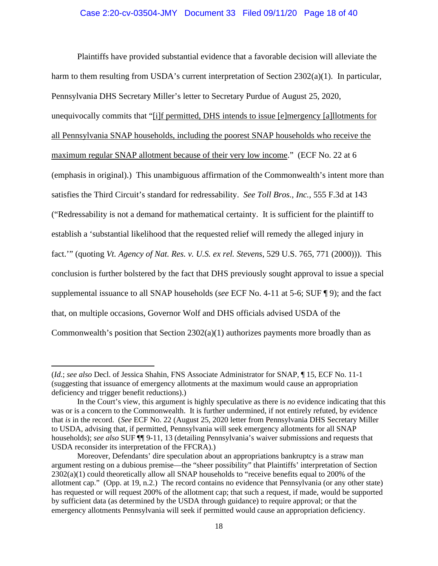Plaintiffs have provided substantial evidence that a favorable decision will alleviate the harm to them resulting from USDA's current interpretation of Section 2302(a)(1). In particular, Pennsylvania DHS Secretary Miller's letter to Secretary Purdue of August 25, 2020, unequivocally commits that "[i]f permitted, DHS intends to issue [e]mergency [a]llotments for all Pennsylvania SNAP households, including the poorest SNAP households who receive the maximum regular SNAP allotment because of their very low income." (ECF No. 22 at 6 (emphasis in original).) This unambiguous affirmation of the Commonwealth's intent more than satisfies the Third Circuit's standard for redressability. *See Toll Bros., Inc.*, 555 F.3d at 143 ("Redressability is not a demand for mathematical certainty. It is sufficient for the plaintiff to establish a 'substantial likelihood that the requested relief will remedy the alleged injury in fact.'" (quoting *Vt. Agency of Nat. Res. v. U.S. ex rel. Stevens*, 529 U.S. 765, 771 (2000))). This conclusion is further bolstered by the fact that DHS previously sought approval to issue a special supplemental issuance to all SNAP households (*see* ECF No. 4-11 at 5-6; SUF ¶ 9); and the fact that, on multiple occasions, Governor Wolf and DHS officials advised USDA of the Commonwealth's position that Section  $2302(a)(1)$  authorizes payments more broadly than as

<sup>(</sup>*Id.*; *see also* Decl. of Jessica Shahin, FNS Associate Administrator for SNAP, ¶ 15, ECF No. 11-1 (suggesting that issuance of emergency allotments at the maximum would cause an appropriation deficiency and trigger benefit reductions).)

In the Court's view, this argument is highly speculative as there is *no* evidence indicating that this was or is a concern to the Commonwealth. It is further undermined, if not entirely refuted, by evidence that *is* in the record. (*See* ECF No. 22 (August 25, 2020 letter from Pennsylvania DHS Secretary Miller to USDA, advising that, if permitted, Pennsylvania will seek emergency allotments for all SNAP households); *see also* SUF ¶¶ 9-11, 13 (detailing Pennsylvania's waiver submissions and requests that USDA reconsider its interpretation of the FFCRA).)

Moreover, Defendants' dire speculation about an appropriations bankruptcy is a straw man argument resting on a dubious premise—the "sheer possibility" that Plaintiffs' interpretation of Section 2302(a)(1) could theoretically allow all SNAP households to "receive benefits equal to 200% of the allotment cap." (Opp. at 19, n.2.) The record contains no evidence that Pennsylvania (or any other state) has requested or will request 200% of the allotment cap; that such a request, if made, would be supported by sufficient data (as determined by the USDA through guidance) to require approval; or that the emergency allotments Pennsylvania will seek if permitted would cause an appropriation deficiency.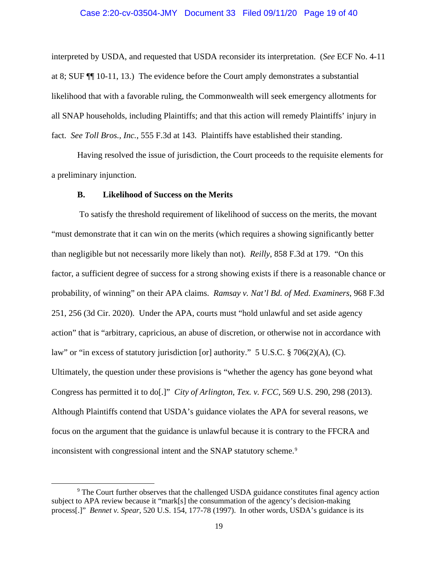#### Case 2:20-cv-03504-JMY Document 33 Filed 09/11/20 Page 19 of 40

interpreted by USDA, and requested that USDA reconsider its interpretation. (*See* ECF No. 4-11 at 8; SUF ¶¶ 10-11, 13.) The evidence before the Court amply demonstrates a substantial likelihood that with a favorable ruling, the Commonwealth will seek emergency allotments for all SNAP households, including Plaintiffs; and that this action will remedy Plaintiffs' injury in fact. *See Toll Bros., Inc.*, 555 F.3d at 143. Plaintiffs have established their standing.

Having resolved the issue of jurisdiction, the Court proceeds to the requisite elements for a preliminary injunction.

#### **B. Likelihood of Success on the Merits**

To satisfy the threshold requirement of likelihood of success on the merits, the movant "must demonstrate that it can win on the merits (which requires a showing significantly better than negligible but not necessarily more likely than not). *Reilly*, 858 F.3d at 179. "On this factor, a sufficient degree of success for a strong showing exists if there is a reasonable chance or probability, of winning" on their APA claims. *Ramsay v. Nat'l Bd. of Med. Examiners*, 968 F.3d 251, 256 (3d Cir. 2020). Under the APA, courts must "hold unlawful and set aside agency action" that is "arbitrary, capricious, an abuse of discretion, or otherwise not in accordance with law" or "in excess of statutory jurisdiction [or] authority."  $5 \text{ U.S.C.} \text{ § } 706(2)(\text{A})$ , (C). Ultimately, the question under these provisions is "whether the agency has gone beyond what Congress has permitted it to do[.]" *City of Arlington, Tex. v. FCC*, 569 U.S. 290, 298 (2013). Although Plaintiffs contend that USDA's guidance violates the APA for several reasons, we focus on the argument that the guidance is unlawful because it is contrary to the FFCRA and inconsistent with congressional intent and the SNAP statutory scheme.<sup>[9](#page-18-0)</sup>

<span id="page-18-0"></span><sup>9</sup> The Court further observes that the challenged USDA guidance constitutes final agency action subject to APA review because it "mark[s] the consummation of the agency's decision-making process[.]" *Bennet v. Spear*, 520 U.S. 154, 177-78 (1997). In other words, USDA's guidance is its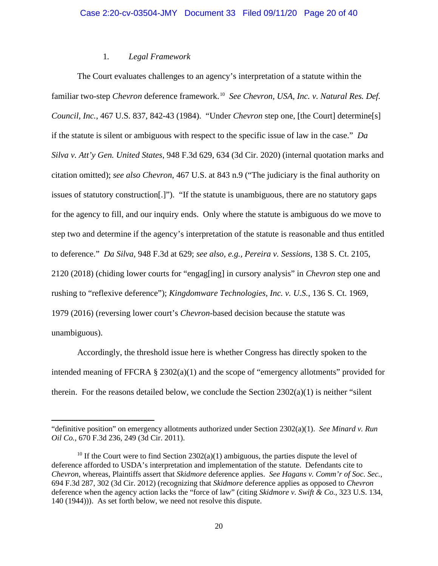#### 1*. Legal Framework*

The Court evaluates challenges to an agency's interpretation of a statute within the familiar two-step *Chevron* deference framework. [10](#page-19-0) *See Chevron, USA, Inc. v. Natural Res. Def. Council, Inc.*, 467 U.S. 837, 842-43 (1984). "Under *Chevron* step one, [the Court] determine[s] if the statute is silent or ambiguous with respect to the specific issue of law in the case." *Da Silva v. Att'y Gen. United States*, 948 F.3d 629, 634 (3d Cir. 2020) (internal quotation marks and citation omitted); *see also Chevron*, 467 U.S. at 843 n.9 ("The judiciary is the final authority on issues of statutory construction[.]"). "If the statute is unambiguous, there are no statutory gaps for the agency to fill, and our inquiry ends. Only where the statute is ambiguous do we move to step two and determine if the agency's interpretation of the statute is reasonable and thus entitled to deference." *Da Silva,* 948 F.3d at 629; *see also, e.g., Pereira v. Sessions*, 138 S. Ct. 2105, 2120 (2018) (chiding lower courts for "engag[ing] in cursory analysis" in *Chevron* step one and rushing to "reflexive deference"); *Kingdomware Technologies, Inc. v. U.S.*, 136 S. Ct. 1969, 1979 (2016) (reversing lower court's *Chevron*-based decision because the statute was unambiguous).

Accordingly, the threshold issue here is whether Congress has directly spoken to the intended meaning of FFCRA § 2302(a)(1) and the scope of "emergency allotments" provided for therein. For the reasons detailed below, we conclude the Section  $2302(a)(1)$  is neither "silent"

<sup>&</sup>quot;definitive position" on emergency allotments authorized under Section 2302(a)(1). *See Minard v. Run Oil Co.*, 670 F.3d 236, 249 (3d Cir. 2011).

<span id="page-19-0"></span><sup>&</sup>lt;sup>10</sup> If the Court were to find Section  $2302(a)(1)$  ambiguous, the parties dispute the level of deference afforded to USDA's interpretation and implementation of the statute. Defendants cite to *Chevron*, whereas, Plaintiffs assert that *Skidmore* deference applies. *See Hagans v. Comm'r of Soc. Sec.*, 694 F.3d 287, 302 (3d Cir. 2012) (recognizing that *Skidmore* deference applies as opposed to *Chevron* deference when the agency action lacks the "force of law" (citing *Skidmore v. Swift & Co.*, 323 U.S. 134, 140 (1944))). As set forth below, we need not resolve this dispute.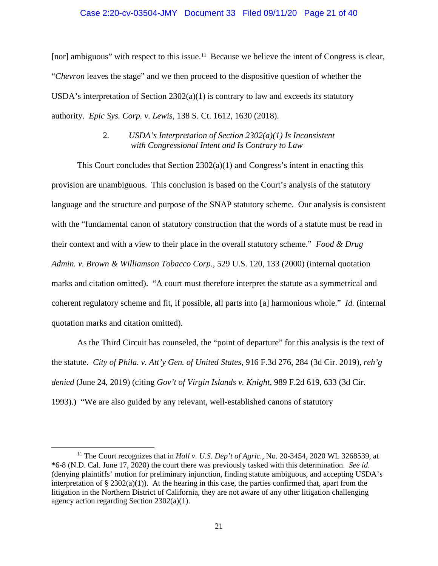#### Case 2:20-cv-03504-JMY Document 33 Filed 09/11/20 Page 21 of 40

[nor] ambiguous" with respect to this issue.<sup>[11](#page-20-0)</sup> Because we believe the intent of Congress is clear, "*Chevron* leaves the stage" and we then proceed to the dispositive question of whether the USDA's interpretation of Section  $2302(a)(1)$  is contrary to law and exceeds its statutory authority. *Epic Sys. Corp. v. Lewis*, 138 S. Ct. 1612, 1630 (2018).

# 2*. USDA's Interpretation of Section 2302(a)(1) Is Inconsistent with Congressional Intent and Is Contrary to Law*

This Court concludes that Section  $2302(a)(1)$  and Congress's intent in enacting this provision are unambiguous. This conclusion is based on the Court's analysis of the statutory language and the structure and purpose of the SNAP statutory scheme. Our analysis is consistent with the "fundamental canon of statutory construction that the words of a statute must be read in their context and with a view to their place in the overall statutory scheme." *Food & Drug Admin. v. Brown & Williamson Tobacco Corp*., 529 U.S. 120, 133 (2000) (internal quotation marks and citation omitted). "A court must therefore interpret the statute as a symmetrical and coherent regulatory scheme and fit, if possible, all parts into [a] harmonious whole." *Id.* (internal quotation marks and citation omitted).

As the Third Circuit has counseled, the "point of departure" for this analysis is the text of the statute. *City of Phila. v. Att'y Gen. of United States*, 916 F.3d 276, 284 (3d Cir. 2019), *reh'g denied* (June 24, 2019) (citing *Gov't of Virgin Islands v. Knight*, 989 F.2d 619, 633 (3d Cir. 1993).) "We are also guided by any relevant, well-established canons of statutory

<span id="page-20-0"></span><sup>&</sup>lt;sup>11</sup> The Court recognizes that in *Hall v. U.S. Dep't of Agric.*, No. 20-3454, 2020 WL 3268539, at \*6-8 (N.D. Cal. June 17, 2020) the court there was previously tasked with this determination. *See id*. (denying plaintiffs' motion for preliminary injunction, finding statute ambiguous, and accepting USDA's interpretation of §  $2302(a)(1)$ . At the hearing in this case, the parties confirmed that, apart from the litigation in the Northern District of California, they are not aware of any other litigation challenging agency action regarding Section 2302(a)(1).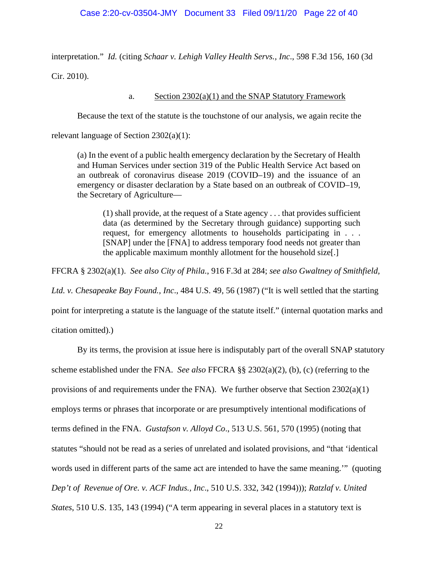#### Case 2:20-cv-03504-JMY Document 33 Filed 09/11/20 Page 22 of 40

interpretation." *Id.* (citing *Schaar v. Lehigh Valley Health Servs., Inc*., 598 F.3d 156, 160 (3d Cir. 2010).

#### a. Section 2302(a)(1) and the SNAP Statutory Framework

Because the text of the statute is the touchstone of our analysis, we again recite the

relevant language of Section 2302(a)(1):

(a) In the event of a public health emergency declaration by the Secretary of Health and Human Services under section 319 of the Public Health Service Act based on an outbreak of coronavirus disease 2019 (COVID–19) and the issuance of an emergency or disaster declaration by a State based on an outbreak of COVID–19, the Secretary of Agriculture—

(1) shall provide, at the request of a State agency . . . that provides sufficient data (as determined by the Secretary through guidance) supporting such request, for emergency allotments to households participating in . . . [SNAP] under the [FNA] to address temporary food needs not greater than the applicable maximum monthly allotment for the household size[.]

FFCRA § 2302(a)(1). *See also City of Phila.*, 916 F.3d at 284; *see also Gwaltney of Smithfield,* 

*Ltd. v. Chesapeake Bay Found., Inc*., 484 U.S. 49, 56 (1987) ("It is well settled that the starting

point for interpreting a statute is the language of the statute itself." (internal quotation marks and

citation omitted).)

By its terms, the provision at issue here is indisputably part of the overall SNAP statutory scheme established under the FNA. *See also* FFCRA §§ 2302(a)(2), (b), (c) (referring to the provisions of and requirements under the FNA). We further observe that Section 2302(a)(1) employs terms or phrases that incorporate or are presumptively intentional modifications of terms defined in the FNA. *Gustafson v. Alloyd Co*., 513 U.S. 561, 570 (1995) (noting that statutes "should not be read as a series of unrelated and isolated provisions, and "that 'identical words used in different parts of the same act are intended to have the same meaning.'" (quoting *Dep't of Revenue of Ore. v. ACF Indus., Inc*., 510 U.S. 332, 342 (1994))); *Ratzlaf v. United States*, 510 U.S. 135, 143 (1994) ("A term appearing in several places in a statutory text is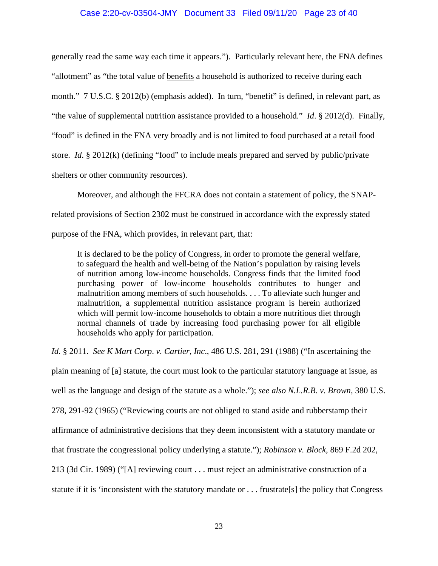#### Case 2:20-cv-03504-JMY Document 33 Filed 09/11/20 Page 23 of 40

generally read the same way each time it appears."). Particularly relevant here, the FNA defines "allotment" as "the total value of benefits a household is authorized to receive during each month." 7 U.S.C. § 2012(b) (emphasis added). In turn, "benefit" is defined, in relevant part, as "the value of supplemental nutrition assistance provided to a household." *Id*. § 2012(d). Finally, "food" is defined in the FNA very broadly and is not limited to food purchased at a retail food store. *Id*. § 2012(k) (defining "food" to include meals prepared and served by public/private shelters or other community resources).

Moreover, and although the FFCRA does not contain a statement of policy, the SNAPrelated provisions of Section 2302 must be construed in accordance with the expressly stated purpose of the FNA, which provides, in relevant part, that:

It is declared to be the policy of Congress, in order to promote the general welfare, to safeguard the health and well-being of the Nation's population by raising levels of nutrition among low-income households. Congress finds that the limited food purchasing power of low-income households contributes to hunger and malnutrition among members of such households. . . . To alleviate such hunger and malnutrition, a supplemental nutrition assistance program is herein authorized which will permit low-income households to obtain a more nutritious diet through normal channels of trade by increasing food purchasing power for all eligible households who apply for participation.

*Id*. § 2011. *See K Mart Corp*. *v. Cartier, Inc*., 486 U.S. 281, 291 (1988) ("In ascertaining the

plain meaning of [a] statute, the court must look to the particular statutory language at issue, as well as the language and design of the statute as a whole."); *see also N.L.R.B. v. Brown,* 380 U.S. 278, 291-92 (1965) ("Reviewing courts are not obliged to stand aside and rubberstamp their affirmance of administrative decisions that they deem inconsistent with a statutory mandate or that frustrate the congressional policy underlying a statute."); *Robinson v. Block*, 869 F.2d 202, 213 (3d Cir. 1989) ("[A] reviewing court . . . must reject an administrative construction of a statute if it is 'inconsistent with the statutory mandate or . . . frustrate[s] the policy that Congress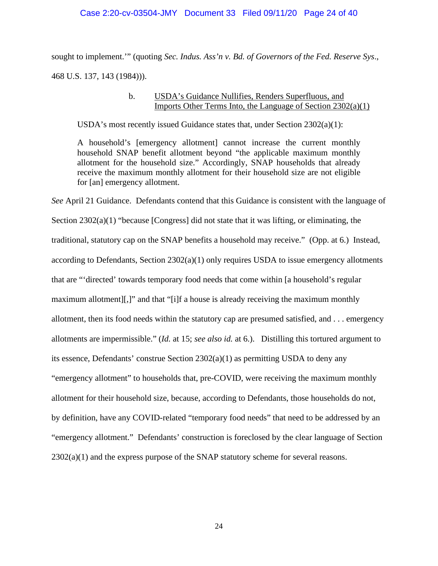#### Case 2:20-cv-03504-JMY Document 33 Filed 09/11/20 Page 24 of 40

sought to implement.'" (quoting *Sec. Indus. Ass'n v. Bd. of Governors of the Fed. Reserve Sys*., 468 U.S. 137, 143 (1984))).

# b. USDA's Guidance Nullifies, Renders Superfluous, and Imports Other Terms Into, the Language of Section 2302(a)(1)

USDA's most recently issued Guidance states that, under Section 2302(a)(1):

A household's [emergency allotment] cannot increase the current monthly household SNAP benefit allotment beyond "the applicable maximum monthly allotment for the household size." Accordingly, SNAP households that already receive the maximum monthly allotment for their household size are not eligible for [an] emergency allotment.

*See* April 21 Guidance. Defendants contend that this Guidance is consistent with the language of Section 2302(a)(1) "because [Congress] did not state that it was lifting, or eliminating, the traditional, statutory cap on the SNAP benefits a household may receive." (Opp. at 6.) Instead, according to Defendants, Section  $2302(a)(1)$  only requires USDA to issue emergency allotments that are "'directed' towards temporary food needs that come within [a household's regular maximum allotment][,]" and that "[i]f a house is already receiving the maximum monthly allotment, then its food needs within the statutory cap are presumed satisfied, and . . . emergency allotments are impermissible." (*Id.* at 15; *see also id.* at 6.). Distilling this tortured argument to its essence, Defendants' construe Section  $2302(a)(1)$  as permitting USDA to deny any "emergency allotment" to households that, pre-COVID, were receiving the maximum monthly allotment for their household size, because, according to Defendants, those households do not, by definition, have any COVID-related "temporary food needs" that need to be addressed by an "emergency allotment." Defendants' construction is foreclosed by the clear language of Section  $2302(a)(1)$  and the express purpose of the SNAP statutory scheme for several reasons.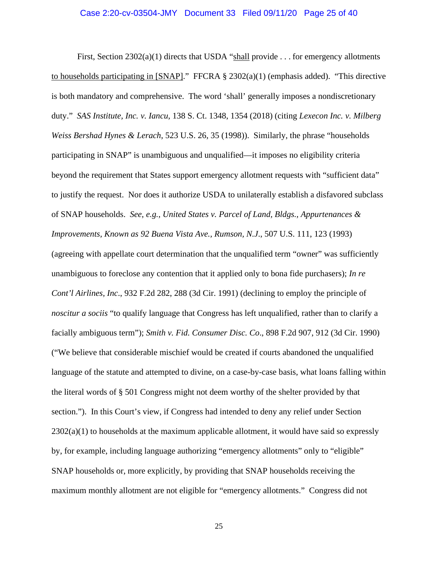#### Case 2:20-cv-03504-JMY Document 33 Filed 09/11/20 Page 25 of 40

First, Section  $2302(a)(1)$  directs that USDA "shall provide . . . for emergency allotments to households participating in [SNAP]." FFCRA  $\S$  2302(a)(1) (emphasis added). "This directive is both mandatory and comprehensive. The word 'shall' generally imposes a nondiscretionary duty." *SAS Institute, Inc. v. Iancu*, 138 S. Ct. 1348, 1354 (2018) (citing *Lexecon Inc. v. Milberg Weiss Bershad Hynes & Lerach*, 523 U.S. 26, 35 (1998)). Similarly, the phrase "households participating in SNAP" is unambiguous and unqualified—it imposes no eligibility criteria beyond the requirement that States support emergency allotment requests with "sufficient data" to justify the request. Nor does it authorize USDA to unilaterally establish a disfavored subclass of SNAP households. *See*, *e.g.*, *United States v. Parcel of Land, Bldgs., Appurtenances & Improvements, Known as 92 Buena Vista Ave., Rumson, N.J*., 507 U.S. 111, 123 (1993) (agreeing with appellate court determination that the unqualified term "owner" was sufficiently unambiguous to foreclose any contention that it applied only to bona fide purchasers); *In re Cont'l Airlines, Inc*., 932 F.2d 282, 288 (3d Cir. 1991) (declining to employ the principle of *noscitur a sociis* "to qualify language that Congress has left unqualified, rather than to clarify a facially ambiguous term"); *Smith v. Fid. Consumer Disc. Co*., 898 F.2d 907, 912 (3d Cir. 1990) ("We believe that considerable mischief would be created if courts abandoned the unqualified language of the statute and attempted to divine, on a case-by-case basis, what loans falling within the literal words of § 501 Congress might not deem worthy of the shelter provided by that section."). In this Court's view, if Congress had intended to deny any relief under Section  $2302(a)(1)$  to households at the maximum applicable allotment, it would have said so expressly by, for example, including language authorizing "emergency allotments" only to "eligible" SNAP households or, more explicitly, by providing that SNAP households receiving the maximum monthly allotment are not eligible for "emergency allotments." Congress did not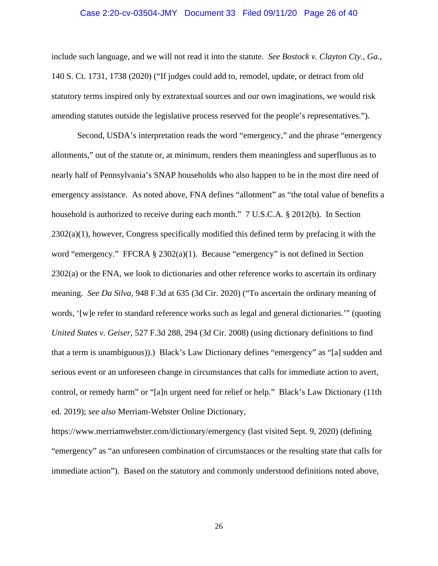#### Case 2:20-cv-03504-JMY Document 33 Filed 09/11/20 Page 26 of 40

include such language, and we will not read it into the statute. *See Bostock v. Clayton Cty., Ga.,*  140 S. Ct. 1731, 1738 (2020) ("If judges could add to, remodel, update, or detract from old statutory terms inspired only by extratextual sources and our own imaginations, we would risk amending statutes outside the legislative process reserved for the people's representatives.").

Second, USDA's interpretation reads the word "emergency," and the phrase "emergency allotments," out of the statute or, at minimum, renders them meaningless and superfluous as to nearly half of Pennsylvania's SNAP households who also happen to be in the most dire need of emergency assistance. As noted above, FNA defines "allotment" as "the total value of benefits a household is authorized to receive during each month." 7 U.S.C.A. § 2012(b). In Section  $2302(a)(1)$ , however, Congress specifically modified this defined term by prefacing it with the word "emergency." FFCRA  $\S 2302(a)(1)$ . Because "emergency" is not defined in Section 2302(a) or the FNA, we look to dictionaries and other reference works to ascertain its ordinary meaning. *See Da Silva*, 948 F.3d at 635 (3d Cir. 2020) ("To ascertain the ordinary meaning of words, '[w]e refer to standard reference works such as legal and general dictionaries.'" (quoting *United States v. Geiser*, 527 F.3d 288, 294 (3d Cir. 2008) (using dictionary definitions to find that a term is unambiguous)).) Black's Law Dictionary defines "emergency" as "[a] sudden and serious event or an unforeseen change in circumstances that calls for immediate action to avert, control, or remedy harm" or "[a]n urgent need for relief or help." Black's Law Dictionary (11th ed. 2019); *see also* Merriam-Webster Online Dictionary,

https://www.merriamwebster.com/dictionary/emergency (last visited Sept. 9, 2020) (defining "emergency" as "an unforeseen combination of circumstances or the resulting state that calls for immediate action"). Based on the statutory and commonly understood definitions noted above,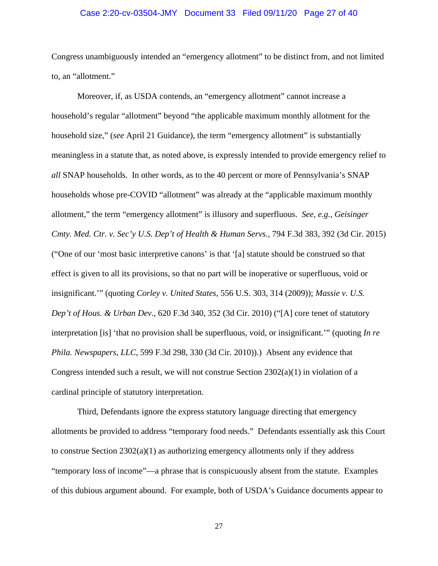#### Case 2:20-cv-03504-JMY Document 33 Filed 09/11/20 Page 27 of 40

Congress unambiguously intended an "emergency allotment" to be distinct from, and not limited to, an "allotment."

Moreover, if, as USDA contends, an "emergency allotment" cannot increase a household's regular "allotment" beyond "the applicable maximum monthly allotment for the household size," (*see* April 21 Guidance), the term "emergency allotment" is substantially meaningless in a statute that, as noted above, is expressly intended to provide emergency relief to *all* SNAP households. In other words, as to the 40 percent or more of Pennsylvania's SNAP households whose pre-COVID "allotment" was already at the "applicable maximum monthly allotment," the term "emergency allotment" is illusory and superfluous. *See, e.g., Geisinger Cmty. Med. Ctr. v. Sec'y U.S. Dep't of Health & Human Servs.,* 794 F.3d 383, 392 (3d Cir. 2015) ("One of our 'most basic interpretive canons' is that '[a] statute should be construed so that effect is given to all its provisions, so that no part will be inoperative or superfluous, void or insignificant.'" (quoting *Corley v. United States*, 556 U.S. 303, 314 (2009)); *Massie v. U.S. Dep't of Hous. & Urban Dev*., 620 F.3d 340, 352 (3d Cir. 2010) ("[A] core tenet of statutory interpretation [is] 'that no provision shall be superfluous, void, or insignificant.'" (quoting *In re Phila. Newspapers, LLC*, 599 F.3d 298, 330 (3d Cir. 2010)).) Absent any evidence that Congress intended such a result, we will not construe Section  $2302(a)(1)$  in violation of a cardinal principle of statutory interpretation.

Third, Defendants ignore the express statutory language directing that emergency allotments be provided to address "temporary food needs." Defendants essentially ask this Court to construe Section  $2302(a)(1)$  as authorizing emergency allotments only if they address "temporary loss of income"—a phrase that is conspicuously absent from the statute. Examples of this dubious argument abound. For example, both of USDA's Guidance documents appear to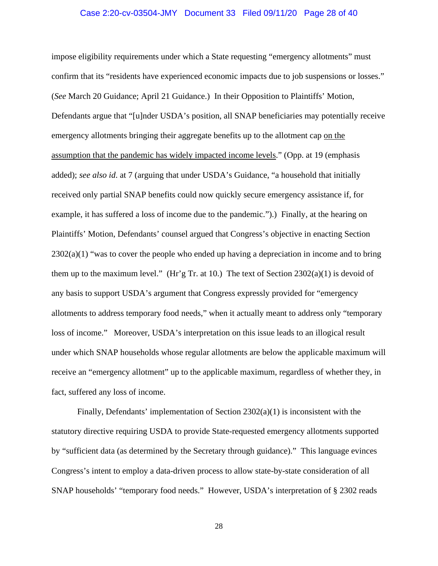#### Case 2:20-cv-03504-JMY Document 33 Filed 09/11/20 Page 28 of 40

impose eligibility requirements under which a State requesting "emergency allotments" must confirm that its "residents have experienced economic impacts due to job suspensions or losses." (*See* March 20 Guidance; April 21 Guidance.) In their Opposition to Plaintiffs' Motion, Defendants argue that "[u]nder USDA's position, all SNAP beneficiaries may potentially receive emergency allotments bringing their aggregate benefits up to the allotment cap on the assumption that the pandemic has widely impacted income levels." (Opp. at 19 (emphasis added); *see also id*. at 7 (arguing that under USDA's Guidance, "a household that initially received only partial SNAP benefits could now quickly secure emergency assistance if, for example, it has suffered a loss of income due to the pandemic.").) Finally, at the hearing on Plaintiffs' Motion, Defendants' counsel argued that Congress's objective in enacting Section  $2302(a)(1)$  "was to cover the people who ended up having a depreciation in income and to bring them up to the maximum level." (Hr'g Tr. at 10.) The text of Section  $2302(a)(1)$  is devoid of any basis to support USDA's argument that Congress expressly provided for "emergency allotments to address temporary food needs," when it actually meant to address only "temporary loss of income." Moreover, USDA's interpretation on this issue leads to an illogical result under which SNAP households whose regular allotments are below the applicable maximum will receive an "emergency allotment" up to the applicable maximum, regardless of whether they, in fact, suffered any loss of income.

Finally, Defendants' implementation of Section  $2302(a)(1)$  is inconsistent with the statutory directive requiring USDA to provide State-requested emergency allotments supported by "sufficient data (as determined by the Secretary through guidance)." This language evinces Congress's intent to employ a data-driven process to allow state-by-state consideration of all SNAP households' "temporary food needs." However, USDA's interpretation of § 2302 reads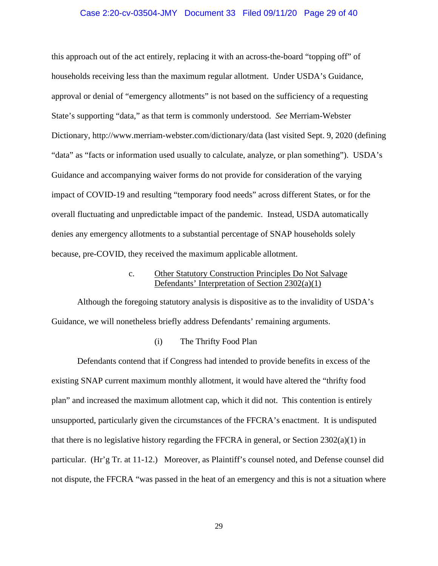#### Case 2:20-cv-03504-JMY Document 33 Filed 09/11/20 Page 29 of 40

this approach out of the act entirely, replacing it with an across-the-board "topping off" of households receiving less than the maximum regular allotment. Under USDA's Guidance, approval or denial of "emergency allotments" is not based on the sufficiency of a requesting State's supporting "data," as that term is commonly understood. *See* Merriam-Webster Dictionary, http://www.merriam-webster.com/dictionary/data (last visited Sept. 9, 2020 (defining "data" as "facts or information used usually to calculate, analyze, or plan something"). USDA's Guidance and accompanying waiver forms do not provide for consideration of the varying impact of COVID-19 and resulting "temporary food needs" across different States, or for the overall fluctuating and unpredictable impact of the pandemic. Instead, USDA automatically denies any emergency allotments to a substantial percentage of SNAP households solely because, pre-COVID, they received the maximum applicable allotment.

# c. Other Statutory Construction Principles Do Not Salvage Defendants' Interpretation of Section 2302(a)(1)

Although the foregoing statutory analysis is dispositive as to the invalidity of USDA's Guidance, we will nonetheless briefly address Defendants' remaining arguments.

#### (i) The Thrifty Food Plan

Defendants contend that if Congress had intended to provide benefits in excess of the existing SNAP current maximum monthly allotment, it would have altered the "thrifty food plan" and increased the maximum allotment cap, which it did not. This contention is entirely unsupported, particularly given the circumstances of the FFCRA's enactment. It is undisputed that there is no legislative history regarding the FFCRA in general, or Section 2302(a)(1) in particular. (Hr'g Tr. at 11-12.) Moreover, as Plaintiff's counsel noted, and Defense counsel did not dispute, the FFCRA "was passed in the heat of an emergency and this is not a situation where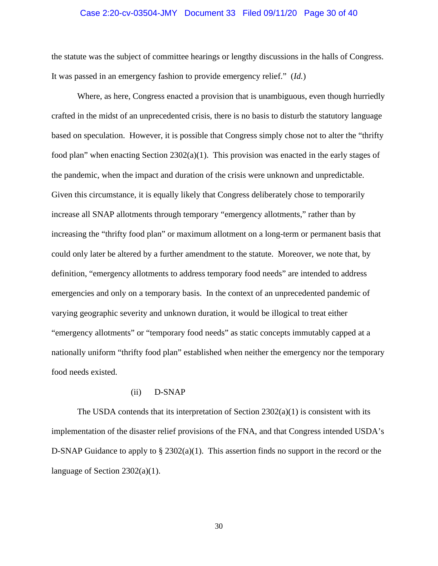#### Case 2:20-cv-03504-JMY Document 33 Filed 09/11/20 Page 30 of 40

the statute was the subject of committee hearings or lengthy discussions in the halls of Congress. It was passed in an emergency fashion to provide emergency relief." (*Id.*)

Where, as here, Congress enacted a provision that is unambiguous, even though hurriedly crafted in the midst of an unprecedented crisis, there is no basis to disturb the statutory language based on speculation. However, it is possible that Congress simply chose not to alter the "thrifty food plan" when enacting Section  $2302(a)(1)$ . This provision was enacted in the early stages of the pandemic, when the impact and duration of the crisis were unknown and unpredictable. Given this circumstance, it is equally likely that Congress deliberately chose to temporarily increase all SNAP allotments through temporary "emergency allotments," rather than by increasing the "thrifty food plan" or maximum allotment on a long-term or permanent basis that could only later be altered by a further amendment to the statute. Moreover, we note that, by definition, "emergency allotments to address temporary food needs" are intended to address emergencies and only on a temporary basis. In the context of an unprecedented pandemic of varying geographic severity and unknown duration, it would be illogical to treat either "emergency allotments" or "temporary food needs" as static concepts immutably capped at a nationally uniform "thrifty food plan" established when neither the emergency nor the temporary food needs existed.

## (ii) D-SNAP

The USDA contends that its interpretation of Section  $2302(a)(1)$  is consistent with its implementation of the disaster relief provisions of the FNA, and that Congress intended USDA's D-SNAP Guidance to apply to  $\S 2302(a)(1)$ . This assertion finds no support in the record or the language of Section 2302(a)(1).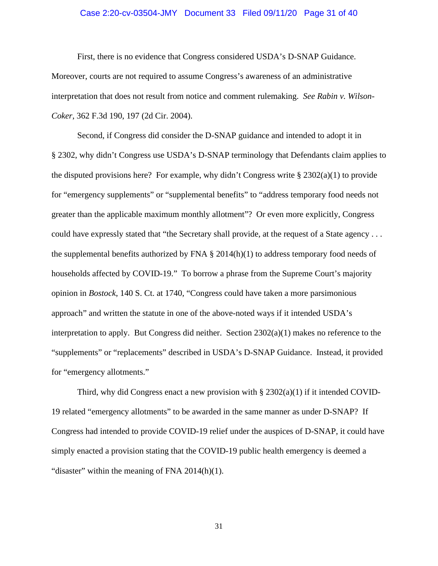#### Case 2:20-cv-03504-JMY Document 33 Filed 09/11/20 Page 31 of 40

First, there is no evidence that Congress considered USDA's D-SNAP Guidance. Moreover, courts are not required to assume Congress's awareness of an administrative interpretation that does not result from notice and comment rulemaking. *See Rabin v. Wilson-*

*Coker*, 362 F.3d 190, 197 (2d Cir. 2004).

Second, if Congress did consider the D-SNAP guidance and intended to adopt it in § 2302, why didn't Congress use USDA's D-SNAP terminology that Defendants claim applies to the disputed provisions here? For example, why didn't Congress write  $\S 2302(a)(1)$  to provide for "emergency supplements" or "supplemental benefits" to "address temporary food needs not greater than the applicable maximum monthly allotment"? Or even more explicitly, Congress could have expressly stated that "the Secretary shall provide, at the request of a State agency . . . the supplemental benefits authorized by FNA  $\S$  2014(h)(1) to address temporary food needs of households affected by COVID-19." To borrow a phrase from the Supreme Court's majority opinion in *Bostock*, 140 S. Ct. at 1740, "Congress could have taken a more parsimonious approach" and written the statute in one of the above-noted ways if it intended USDA's interpretation to apply. But Congress did neither. Section  $2302(a)(1)$  makes no reference to the "supplements" or "replacements" described in USDA's D-SNAP Guidance. Instead, it provided for "emergency allotments."

Third, why did Congress enact a new provision with  $\S 2302(a)(1)$  if it intended COVID-19 related "emergency allotments" to be awarded in the same manner as under D-SNAP? If Congress had intended to provide COVID-19 relief under the auspices of D-SNAP, it could have simply enacted a provision stating that the COVID-19 public health emergency is deemed a "disaster" within the meaning of FNA 2014(h)(1).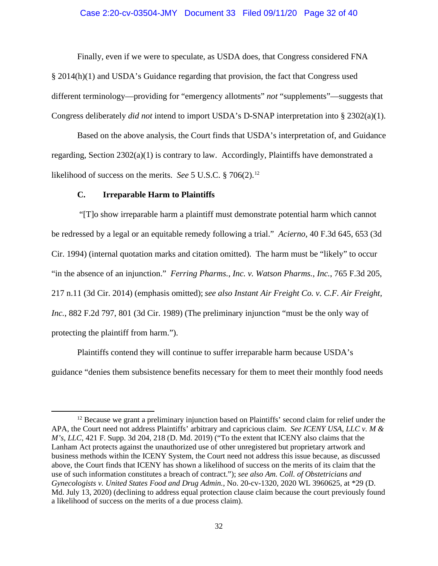#### Case 2:20-cv-03504-JMY Document 33 Filed 09/11/20 Page 32 of 40

Finally, even if we were to speculate, as USDA does, that Congress considered FNA § 2014(h)(1) and USDA's Guidance regarding that provision, the fact that Congress used different terminology—providing for "emergency allotments" *not* "supplements"—suggests that Congress deliberately *did not* intend to import USDA's D-SNAP interpretation into § 2302(a)(1).

Based on the above analysis, the Court finds that USDA's interpretation of, and Guidance regarding, Section 2302(a)(1) is contrary to law. Accordingly, Plaintiffs have demonstrated a likelihood of success on the merits. *See* 5 U.S.C. § 706(2). [12](#page-31-0)

#### **C. Irreparable Harm to Plaintiffs**

"[T]o show irreparable harm a plaintiff must demonstrate potential harm which cannot be redressed by a legal or an equitable remedy following a trial." *Acierno*, 40 F.3d 645, 653 (3d Cir. 1994) (internal quotation marks and citation omitted). The harm must be "likely" to occur "in the absence of an injunction." *Ferring Pharms., Inc. v. Watson Pharms., Inc.*, 765 F.3d 205, 217 n.11 (3d Cir. 2014) (emphasis omitted); *see also Instant Air Freight Co. v. C.F. Air Freight, Inc.*, 882 F.2d 797, 801 (3d Cir. 1989) (The preliminary injunction "must be the only way of protecting the plaintiff from harm.").

Plaintiffs contend they will continue to suffer irreparable harm because USDA's guidance "denies them subsistence benefits necessary for them to meet their monthly food needs

<span id="page-31-0"></span><sup>&</sup>lt;sup>12</sup> Because we grant a preliminary injunction based on Plaintiffs' second claim for relief under the APA, the Court need not address Plaintiffs' arbitrary and capricious claim. *See ICENY USA, LLC v. M & M's, LLC*, 421 F. Supp. 3d 204, 218 (D. Md. 2019) ("To the extent that ICENY also claims that the Lanham Act protects against the unauthorized use of other unregistered but proprietary artwork and business methods within the ICENY System, the Court need not address this issue because, as discussed above, the Court finds that ICENY has shown a likelihood of success on the merits of its claim that the use of such information constitutes a breach of contract."); *see also Am. Coll. of Obstetricians and Gynecologists v. United States Food and Drug Admin.*, No. 20-cv-1320, 2020 WL 3960625, at \*29 (D. Md. July 13, 2020) (declining to address equal protection clause claim because the court previously found a likelihood of success on the merits of a due process claim).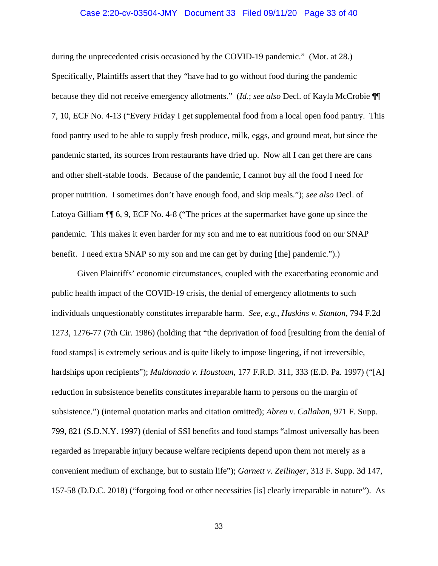#### Case 2:20-cv-03504-JMY Document 33 Filed 09/11/20 Page 33 of 40

during the unprecedented crisis occasioned by the COVID-19 pandemic." (Mot. at 28.) Specifically, Plaintiffs assert that they "have had to go without food during the pandemic because they did not receive emergency allotments." (*Id*.; *see also* Decl. of Kayla McCrobie ¶¶ 7, 10, ECF No. 4-13 ("Every Friday I get supplemental food from a local open food pantry. This food pantry used to be able to supply fresh produce, milk, eggs, and ground meat, but since the pandemic started, its sources from restaurants have dried up. Now all I can get there are cans and other shelf-stable foods. Because of the pandemic, I cannot buy all the food I need for proper nutrition. I sometimes don't have enough food, and skip meals."); *see also* Decl. of Latoya Gilliam ¶¶ 6, 9, ECF No. 4-8 ("The prices at the supermarket have gone up since the pandemic. This makes it even harder for my son and me to eat nutritious food on our SNAP benefit. I need extra SNAP so my son and me can get by during [the] pandemic.").)

Given Plaintiffs' economic circumstances, coupled with the exacerbating economic and public health impact of the COVID-19 crisis, the denial of emergency allotments to such individuals unquestionably constitutes irreparable harm. *See*, *e.g.*, *Haskins v. Stanton*, 794 F.2d 1273, 1276-77 (7th Cir. 1986) (holding that "the deprivation of food [resulting from the denial of food stamps] is extremely serious and is quite likely to impose lingering, if not irreversible, hardships upon recipients"); *Maldonado v. Houstoun*, 177 F.R.D. 311, 333 (E.D. Pa. 1997) ("[A] reduction in subsistence benefits constitutes irreparable harm to persons on the margin of subsistence.") (internal quotation marks and citation omitted); *Abreu v. Callahan*, 971 F. Supp. 799, 821 (S.D.N.Y. 1997) (denial of SSI benefits and food stamps "almost universally has been regarded as irreparable injury because welfare recipients depend upon them not merely as a convenient medium of exchange, but to sustain life"); *Garnett v. Zeilinger*, 313 F. Supp. 3d 147, 157-58 (D.D.C. 2018) ("forgoing food or other necessities [is] clearly irreparable in nature"). As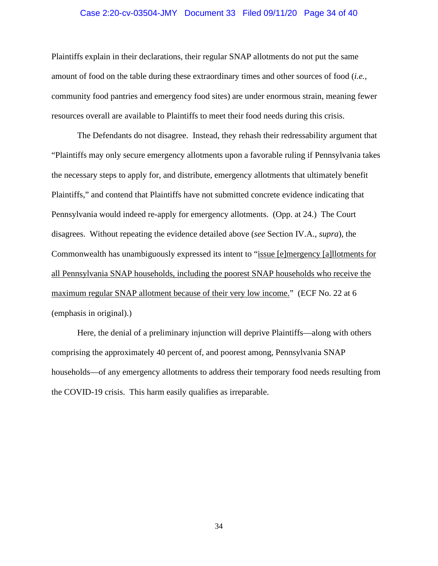#### Case 2:20-cv-03504-JMY Document 33 Filed 09/11/20 Page 34 of 40

Plaintiffs explain in their declarations, their regular SNAP allotments do not put the same amount of food on the table during these extraordinary times and other sources of food (*i.e.*, community food pantries and emergency food sites) are under enormous strain, meaning fewer resources overall are available to Plaintiffs to meet their food needs during this crisis.

The Defendants do not disagree. Instead, they rehash their redressability argument that "Plaintiffs may only secure emergency allotments upon a favorable ruling if Pennsylvania takes the necessary steps to apply for, and distribute, emergency allotments that ultimately benefit Plaintiffs," and contend that Plaintiffs have not submitted concrete evidence indicating that Pennsylvania would indeed re-apply for emergency allotments. (Opp. at 24.) The Court disagrees. Without repeating the evidence detailed above (*see* Section IV.A., *supra*), the Commonwealth has unambiguously expressed its intent to "issue [e]mergency [a]llotments for all Pennsylvania SNAP households, including the poorest SNAP households who receive the maximum regular SNAP allotment because of their very low income." (ECF No. 22 at 6 (emphasis in original).)

Here, the denial of a preliminary injunction will deprive Plaintiffs—along with others comprising the approximately 40 percent of, and poorest among, Pennsylvania SNAP households—of any emergency allotments to address their temporary food needs resulting from the COVID-19 crisis. This harm easily qualifies as irreparable.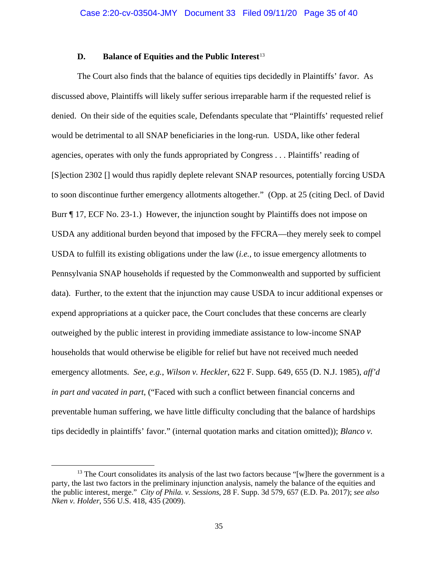#### **D.** Balance of Equities and the Public Interest<sup>[13](#page-34-0)</sup>

The Court also finds that the balance of equities tips decidedly in Plaintiffs' favor. As discussed above, Plaintiffs will likely suffer serious irreparable harm if the requested relief is denied. On their side of the equities scale, Defendants speculate that "Plaintiffs' requested relief would be detrimental to all SNAP beneficiaries in the long-run. USDA, like other federal agencies, operates with only the funds appropriated by Congress . . . Plaintiffs' reading of [S]ection 2302 [] would thus rapidly deplete relevant SNAP resources, potentially forcing USDA to soon discontinue further emergency allotments altogether." (Opp. at 25 (citing Decl. of David Burr ¶ 17, ECF No. 23-1.) However, the injunction sought by Plaintiffs does not impose on USDA any additional burden beyond that imposed by the FFCRA—they merely seek to compel USDA to fulfill its existing obligations under the law (*i.e.*, to issue emergency allotments to Pennsylvania SNAP households if requested by the Commonwealth and supported by sufficient data). Further, to the extent that the injunction may cause USDA to incur additional expenses or expend appropriations at a quicker pace, the Court concludes that these concerns are clearly outweighed by the public interest in providing immediate assistance to low-income SNAP households that would otherwise be eligible for relief but have not received much needed emergency allotments. *See*, *e.g.*, *Wilson v. Heckler*, 622 F. Supp. 649, 655 (D. N.J. 1985), *aff'd in part and vacated in part*, ("Faced with such a conflict between financial concerns and preventable human suffering, we have little difficulty concluding that the balance of hardships tips decidedly in plaintiffs' favor." (internal quotation marks and citation omitted)); *Blanco v.* 

<span id="page-34-0"></span> $<sup>13</sup>$  The Court consolidates its analysis of the last two factors because "[w]here the government is a</sup> party, the last two factors in the preliminary injunction analysis, namely the balance of the equities and the public interest, merge." *City of Phila. v. Sessions*, 28 F. Supp. 3d 579, 657 (E.D. Pa. 2017); *see also Nken v. Holder*, 556 U.S. 418, 435 (2009).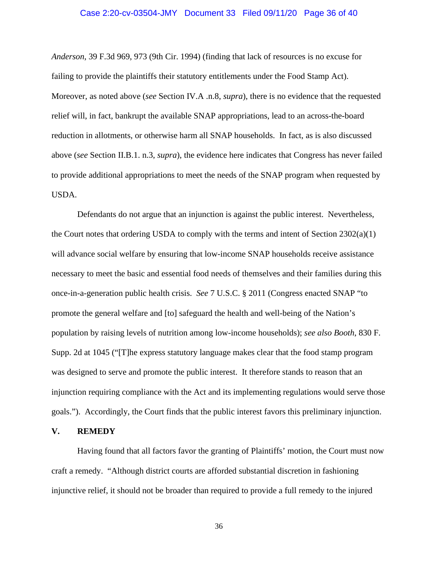#### Case 2:20-cv-03504-JMY Document 33 Filed 09/11/20 Page 36 of 40

*Anderson*, 39 F.3d 969, 973 (9th Cir. 1994) (finding that lack of resources is no excuse for failing to provide the plaintiffs their statutory entitlements under the Food Stamp Act). Moreover, as noted above (*see* Section IV.A .n.8, *supra*), there is no evidence that the requested relief will, in fact, bankrupt the available SNAP appropriations, lead to an across-the-board reduction in allotments, or otherwise harm all SNAP households. In fact, as is also discussed above (*see* Section II.B.1. n.3, *supra*), the evidence here indicates that Congress has never failed to provide additional appropriations to meet the needs of the SNAP program when requested by USDA.

Defendants do not argue that an injunction is against the public interest. Nevertheless, the Court notes that ordering USDA to comply with the terms and intent of Section 2302(a)(1) will advance social welfare by ensuring that low-income SNAP households receive assistance necessary to meet the basic and essential food needs of themselves and their families during this once-in-a-generation public health crisis. *See* 7 U.S.C. § 2011 (Congress enacted SNAP "to promote the general welfare and [to] safeguard the health and well-being of the Nation's population by raising levels of nutrition among low-income households); *see also Booth*, 830 F. Supp. 2d at 1045 ("[T]he express statutory language makes clear that the food stamp program was designed to serve and promote the public interest. It therefore stands to reason that an injunction requiring compliance with the Act and its implementing regulations would serve those goals."). Accordingly, the Court finds that the public interest favors this preliminary injunction.

#### **V. REMEDY**

Having found that all factors favor the granting of Plaintiffs' motion, the Court must now craft a remedy. "Although district courts are afforded substantial discretion in fashioning injunctive relief, it should not be broader than required to provide a full remedy to the injured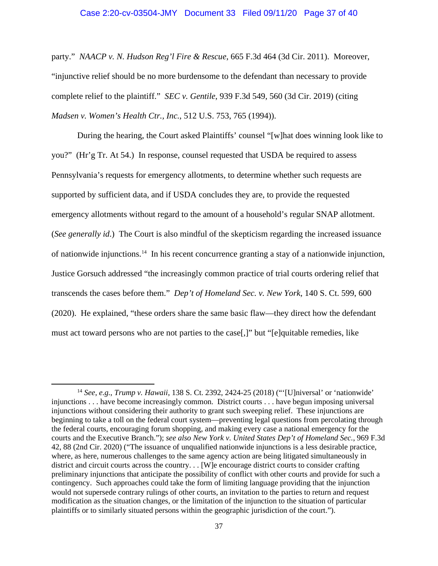#### Case 2:20-cv-03504-JMY Document 33 Filed 09/11/20 Page 37 of 40

party." *NAACP v. N. Hudson Reg'l Fire & Rescue*, 665 F.3d 464 (3d Cir. 2011). Moreover, "injunctive relief should be no more burdensome to the defendant than necessary to provide complete relief to the plaintiff." *SEC v. Gentile*, 939 F.3d 549, 560 (3d Cir. 2019) (citing *Madsen v. Women's Health Ctr., Inc.*, 512 U.S. 753, 765 (1994)).

During the hearing, the Court asked Plaintiffs' counsel "[w]hat does winning look like to you?" (Hr'g Tr. At 54.) In response, counsel requested that USDA be required to assess Pennsylvania's requests for emergency allotments, to determine whether such requests are supported by sufficient data, and if USDA concludes they are, to provide the requested emergency allotments without regard to the amount of a household's regular SNAP allotment. (*See generally id*.) The Court is also mindful of the skepticism regarding the increased issuance of nationwide injunctions.[14](#page-36-0) In his recent concurrence granting a stay of a nationwide injunction, Justice Gorsuch addressed "the increasingly common practice of trial courts ordering relief that transcends the cases before them." *Dep't of Homeland Sec. v. New York*, 140 S. Ct. 599, 600 (2020). He explained, "these orders share the same basic flaw—they direct how the defendant must act toward persons who are not parties to the case[,]" but "[e]quitable remedies, like

<span id="page-36-0"></span><sup>14</sup> *See*, *e.g.*, *Trump v. Hawaii*, 138 S. Ct. 2392, 2424-25 (2018) ("'[U]niversal' or 'nationwide' injunctions . . . have become increasingly common. District courts . . . have begun imposing universal injunctions without considering their authority to grant such sweeping relief. These injunctions are beginning to take a toll on the federal court system—preventing legal questions from percolating through the federal courts, encouraging forum shopping, and making every case a national emergency for the courts and the Executive Branch."); *see also New York v. United States Dep't of Homeland Sec.*, 969 F.3d 42, 88 (2nd Cir. 2020) ("The issuance of unqualified nationwide injunctions is a less desirable practice, where, as here, numerous challenges to the same agency action are being litigated simultaneously in district and circuit courts across the country. . . [W]e encourage district courts to consider crafting preliminary injunctions that anticipate the possibility of conflict with other courts and provide for such a contingency. Such approaches could take the form of limiting language providing that the injunction would not supersede contrary rulings of other courts, an invitation to the parties to return and request modification as the situation changes, or the limitation of the injunction to the situation of particular plaintiffs or to similarly situated persons within the geographic jurisdiction of the court.").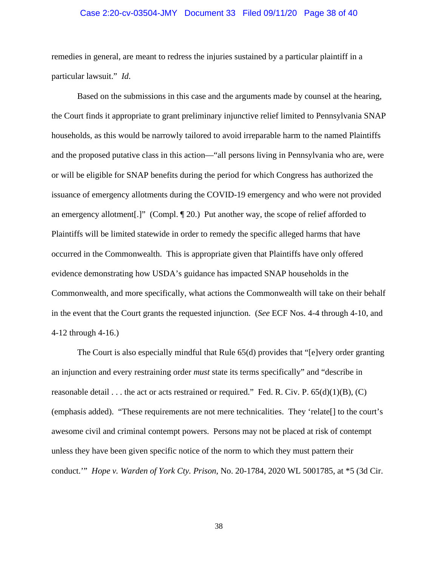#### Case 2:20-cv-03504-JMY Document 33 Filed 09/11/20 Page 38 of 40

remedies in general, are meant to redress the injuries sustained by a particular plaintiff in a particular lawsuit." *Id*.

Based on the submissions in this case and the arguments made by counsel at the hearing, the Court finds it appropriate to grant preliminary injunctive relief limited to Pennsylvania SNAP households, as this would be narrowly tailored to avoid irreparable harm to the named Plaintiffs and the proposed putative class in this action—"all persons living in Pennsylvania who are, were or will be eligible for SNAP benefits during the period for which Congress has authorized the issuance of emergency allotments during the COVID-19 emergency and who were not provided an emergency allotment[.]" (Compl. ¶ 20.) Put another way, the scope of relief afforded to Plaintiffs will be limited statewide in order to remedy the specific alleged harms that have occurred in the Commonwealth. This is appropriate given that Plaintiffs have only offered evidence demonstrating how USDA's guidance has impacted SNAP households in the Commonwealth, and more specifically, what actions the Commonwealth will take on their behalf in the event that the Court grants the requested injunction. (*See* ECF Nos. 4-4 through 4-10, and 4-12 through 4-16.)

The Court is also especially mindful that Rule 65(d) provides that "[e]very order granting an injunction and every restraining order *must* state its terms specifically" and "describe in reasonable detail . . . the act or acts restrained or required." Fed. R. Civ. P.  $65(d)(1)(B)$ , (C) (emphasis added). "These requirements are not mere technicalities. They 'relate[] to the court's awesome civil and criminal contempt powers. Persons may not be placed at risk of contempt unless they have been given specific notice of the norm to which they must pattern their conduct.'" *Hope v. Warden of York Cty. Prison*, No. 20-1784, 2020 WL 5001785, at \*5 (3d Cir.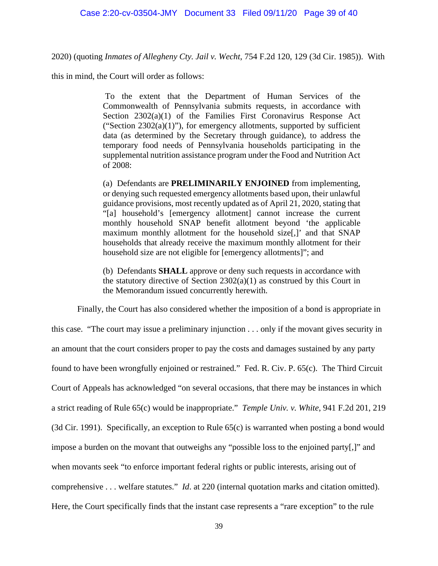2020) (quoting *Inmates of Allegheny Cty. Jail v. Wecht*, 754 F.2d 120, 129 (3d Cir. 1985)). With

this in mind, the Court will order as follows:

To the extent that the Department of Human Services of the Commonwealth of Pennsylvania submits requests, in accordance with Section 2302(a)(1) of the Families First Coronavirus Response Act ("Section  $2302(a)(1)$ "), for emergency allotments, supported by sufficient data (as determined by the Secretary through guidance), to address the temporary food needs of Pennsylvania households participating in the supplemental nutrition assistance program under the Food and Nutrition Act of 2008:

(a) Defendants are **PRELIMINARILY ENJOINED** from implementing, or denying such requested emergency allotments based upon, their unlawful guidance provisions, most recently updated as of April 21, 2020, stating that "[a] household's [emergency allotment] cannot increase the current monthly household SNAP benefit allotment beyond 'the applicable maximum monthly allotment for the household size[,]' and that SNAP households that already receive the maximum monthly allotment for their household size are not eligible for [emergency allotments]"; and

(b) Defendants **SHALL** approve or deny such requests in accordance with the statutory directive of Section  $2302(a)(1)$  as construed by this Court in the Memorandum issued concurrently herewith.

Finally, the Court has also considered whether the imposition of a bond is appropriate in this case. "The court may issue a preliminary injunction . . . only if the movant gives security in an amount that the court considers proper to pay the costs and damages sustained by any party found to have been wrongfully enjoined or restrained." Fed. R. Civ. P. 65(c). The Third Circuit Court of Appeals has acknowledged "on several occasions, that there may be instances in which a strict reading of Rule 65(c) would be inappropriate." *Temple Univ. v. White*, 941 F.2d 201, 219 (3d Cir. 1991). Specifically, an exception to Rule 65(c) is warranted when posting a bond would impose a burden on the movant that outweighs any "possible loss to the enjoined party[,]" and when movants seek "to enforce important federal rights or public interests, arising out of comprehensive . . . welfare statutes." *Id*. at 220 (internal quotation marks and citation omitted). Here, the Court specifically finds that the instant case represents a "rare exception" to the rule